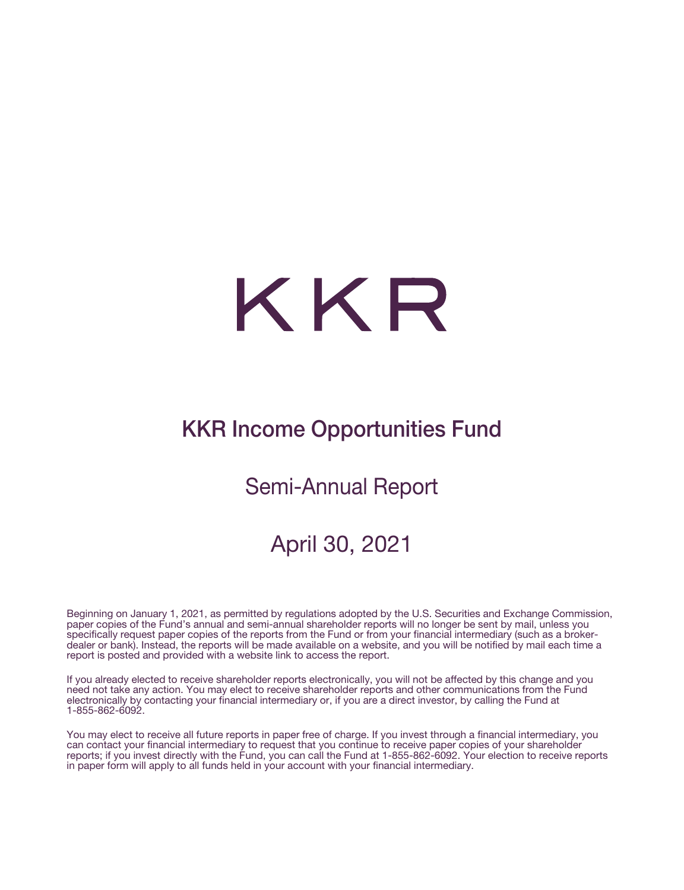# KKR

# KKR Income Opportunities Fund

## Semi-Annual Report

## April 30, 2021

Beginning on January 1, 2021, as permitted by regulations adopted by the U.S. Securities and Exchange Commission, paper copies of the Fund's annual and semi-annual shareholder reports will no longer be sent by mail, unless you specifically request paper copies of the reports from the Fund or from your financial intermediary (such as a brokerdealer or bank). Instead, the reports will be made available on a website, and you will be notified by mail each time a report is posted and provided with a website link to access the report.

If you already elected to receive shareholder reports electronically, you will not be affected by this change and you need not take any action. You may elect to receive shareholder reports and other communications from the Fund electronically by contacting your financial intermediary or, if you are a direct investor, by calling the Fund at 1-855-862-6092.

You may elect to receive all future reports in paper free of charge. If you invest through a financial intermediary, you can contact your financial intermediary to request that you continue to receive paper copies of your shareholder reports; if you invest directly with the Fund, you can call the Fund at 1-855-862-6092. Your election to receive reports in paper form will apply to all funds held in your account with your financial intermediary.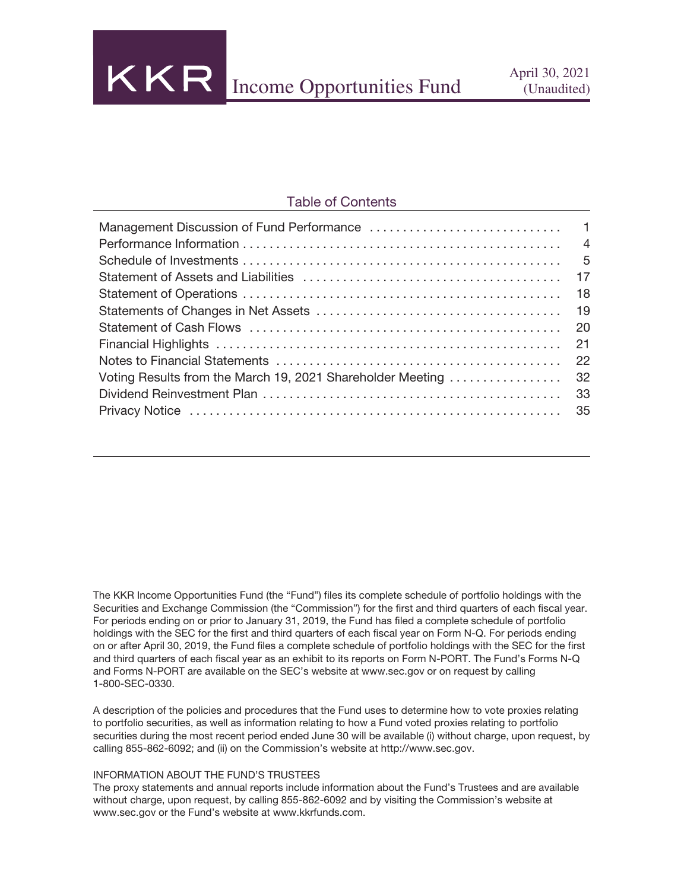KKR Income Opportunities Fund April 30, 2021

#### Table of Contents

The KKR Income Opportunities Fund (the "Fund") files its complete schedule of portfolio holdings with the Securities and Exchange Commission (the "Commission") for the first and third quarters of each fiscal year. For periods ending on or prior to January 31, 2019, the Fund has filed a complete schedule of portfolio holdings with the SEC for the first and third quarters of each fiscal year on Form N-Q. For periods ending on or after April 30, 2019, the Fund files a complete schedule of portfolio holdings with the SEC for the first and third quarters of each fiscal year as an exhibit to its reports on Form N-PORT. The Fund's Forms N-Q and Forms N-PORT are available on the SEC's website at www.sec.gov or on request by calling 1-800-SEC-0330.

A description of the policies and procedures that the Fund uses to determine how to vote proxies relating to portfolio securities, as well as information relating to how a Fund voted proxies relating to portfolio securities during the most recent period ended June 30 will be available (i) without charge, upon request, by calling 855-862-6092; and (ii) on the Commission's website at http://www.sec.gov.

#### INFORMATION ABOUT THE FUND'S TRUSTEES

The proxy statements and annual reports include information about the Fund's Trustees and are available without charge, upon request, by calling 855-862-6092 and by visiting the Commission's website at www.sec.gov or the Fund's website at www.kkrfunds.com.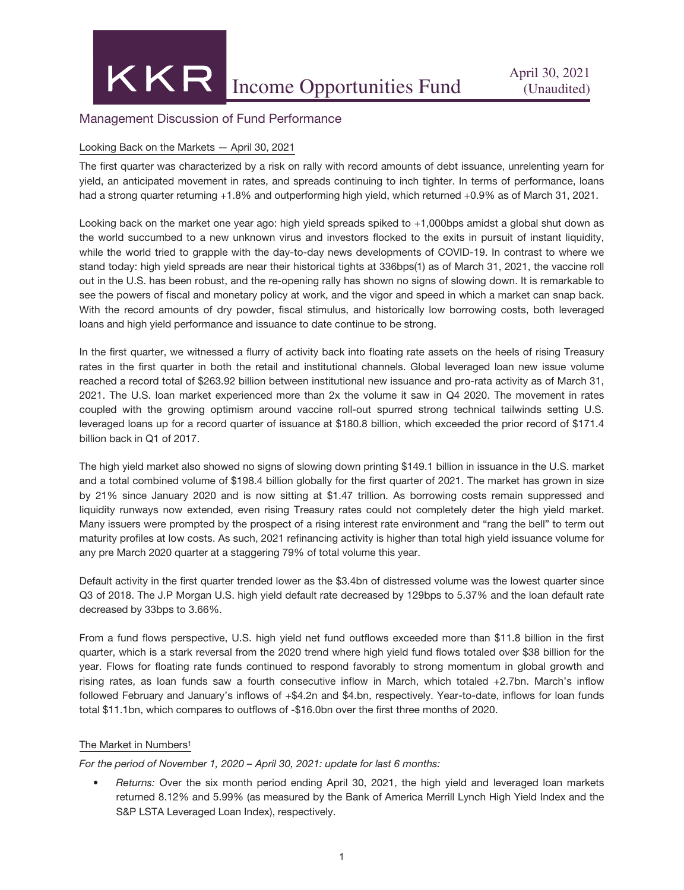#### Management Discussion of Fund Performance

#### Looking Back on the Markets — April 30, 2021

The first quarter was characterized by a risk on rally with record amounts of debt issuance, unrelenting yearn for yield, an anticipated movement in rates, and spreads continuing to inch tighter. In terms of performance, loans had a strong quarter returning +1.8% and outperforming high yield, which returned +0.9% as of March 31, 2021.

Looking back on the market one year ago: high yield spreads spiked to +1,000bps amidst a global shut down as the world succumbed to a new unknown virus and investors flocked to the exits in pursuit of instant liquidity, while the world tried to grapple with the day-to-day news developments of COVID-19. In contrast to where we stand today: high yield spreads are near their historical tights at 336bps(1) as of March 31, 2021, the vaccine roll out in the U.S. has been robust, and the re-opening rally has shown no signs of slowing down. It is remarkable to see the powers of fiscal and monetary policy at work, and the vigor and speed in which a market can snap back. With the record amounts of dry powder, fiscal stimulus, and historically low borrowing costs, both leveraged loans and high yield performance and issuance to date continue to be strong.

In the first quarter, we witnessed a flurry of activity back into floating rate assets on the heels of rising Treasury rates in the first quarter in both the retail and institutional channels. Global leveraged loan new issue volume reached a record total of \$263.92 billion between institutional new issuance and pro-rata activity as of March 31, 2021. The U.S. loan market experienced more than 2x the volume it saw in Q4 2020. The movement in rates coupled with the growing optimism around vaccine roll-out spurred strong technical tailwinds setting U.S. leveraged loans up for a record quarter of issuance at \$180.8 billion, which exceeded the prior record of \$171.4 billion back in Q1 of 2017.

The high yield market also showed no signs of slowing down printing \$149.1 billion in issuance in the U.S. market and a total combined volume of \$198.4 billion globally for the first quarter of 2021. The market has grown in size by 21% since January 2020 and is now sitting at \$1.47 trillion. As borrowing costs remain suppressed and liquidity runways now extended, even rising Treasury rates could not completely deter the high yield market. Many issuers were prompted by the prospect of a rising interest rate environment and "rang the bell" to term out maturity profiles at low costs. As such, 2021 refinancing activity is higher than total high yield issuance volume for any pre March 2020 quarter at a staggering 79% of total volume this year.

Default activity in the first quarter trended lower as the \$3.4bn of distressed volume was the lowest quarter since Q3 of 2018. The J.P Morgan U.S. high yield default rate decreased by 129bps to 5.37% and the loan default rate decreased by 33bps to 3.66%.

From a fund flows perspective, U.S. high yield net fund outflows exceeded more than \$11.8 billion in the first quarter, which is a stark reversal from the 2020 trend where high yield fund flows totaled over \$38 billion for the year. Flows for floating rate funds continued to respond favorably to strong momentum in global growth and rising rates, as loan funds saw a fourth consecutive inflow in March, which totaled +2.7bn. March's inflow followed February and January's inflows of +\$4.2n and \$4.bn, respectively. Year-to-date, inflows for loan funds total \$11.1bn, which compares to outflows of -\$16.0bn over the first three months of 2020.

#### The Market in Numbers<sup>1</sup>

*For the period of November 1, 2020 – April 30, 2021: update for last 6 months:*

• *Returns:* Over the six month period ending April 30, 2021, the high yield and leveraged loan markets returned 8.12% and 5.99% (as measured by the Bank of America Merrill Lynch High Yield Index and the S&P LSTA Leveraged Loan Index), respectively.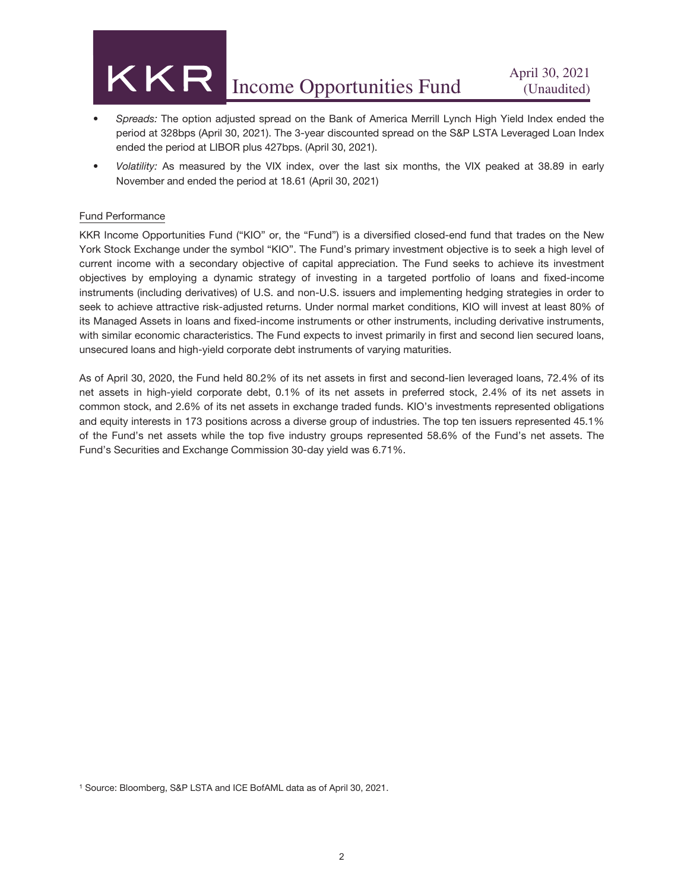## KKR April 30, 2021<br>Income Opportunities Fund (Unaudited)

- *Spreads:* The option adjusted spread on the Bank of America Merrill Lynch High Yield Index ended the period at 328bps (April 30, 2021). The 3-year discounted spread on the S&P LSTA Leveraged Loan Index ended the period at LIBOR plus 427bps. (April 30, 2021).
- *Volatility:* As measured by the VIX index, over the last six months, the VIX peaked at 38.89 in early November and ended the period at 18.61 (April 30, 2021)

#### Fund Performance

KKR Income Opportunities Fund ("KIO" or, the "Fund") is a diversified closed-end fund that trades on the New York Stock Exchange under the symbol "KIO". The Fund's primary investment objective is to seek a high level of current income with a secondary objective of capital appreciation. The Fund seeks to achieve its investment objectives by employing a dynamic strategy of investing in a targeted portfolio of loans and fixed-income instruments (including derivatives) of U.S. and non-U.S. issuers and implementing hedging strategies in order to seek to achieve attractive risk-adjusted returns. Under normal market conditions, KIO will invest at least 80% of its Managed Assets in loans and fixed-income instruments or other instruments, including derivative instruments, with similar economic characteristics. The Fund expects to invest primarily in first and second lien secured loans, unsecured loans and high-yield corporate debt instruments of varying maturities.

As of April 30, 2020, the Fund held 80.2% of its net assets in first and second-lien leveraged loans, 72.4% of its net assets in high-yield corporate debt, 0.1% of its net assets in preferred stock, 2.4% of its net assets in common stock, and 2.6% of its net assets in exchange traded funds. KIO's investments represented obligations and equity interests in 173 positions across a diverse group of industries. The top ten issuers represented 45.1% of the Fund's net assets while the top five industry groups represented 58.6% of the Fund's net assets. The Fund's Securities and Exchange Commission 30-day yield was 6.71%.

<sup>1</sup> Source: Bloomberg, S&P LSTA and ICE BofAML data as of April 30, 2021.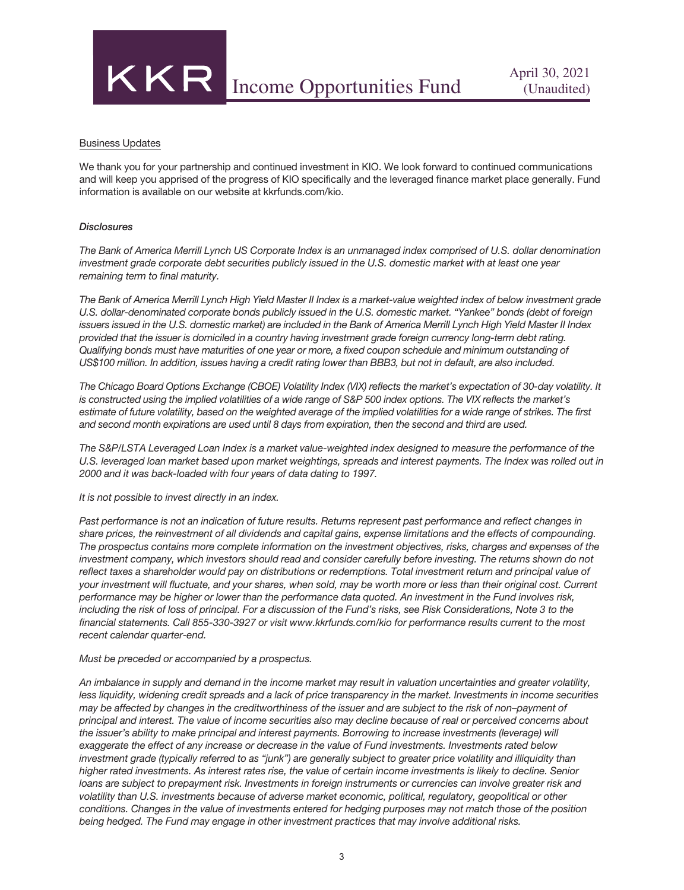

#### Business Updates

We thank you for your partnership and continued investment in KIO. We look forward to continued communications and will keep you apprised of the progress of KIO specifically and the leveraged finance market place generally. Fund information is available on our website at kkrfunds.com/kio.

#### *Disclosures*

*The Bank of America Merrill Lynch US Corporate Index is an unmanaged index comprised of U.S. dollar denomination investment grade corporate debt securities publicly issued in the U.S. domestic market with at least one year remaining term to final maturity.*

*The Bank of America Merrill Lynch High Yield Master II Index is a market-value weighted index of below investment grade U.S. dollar-denominated corporate bonds publicly issued in the U.S. domestic market. "Yankee" bonds (debt of foreign issuers issued in the U.S. domestic market) are included in the Bank of America Merrill Lynch High Yield Master II Index provided that the issuer is domiciled in a country having investment grade foreign currency long-term debt rating. Qualifying bonds must have maturities of one year or more, a fixed coupon schedule and minimum outstanding of US\$100 million. In addition, issues having a credit rating lower than BBB3, but not in default, are also included.*

*The Chicago Board Options Exchange (CBOE) Volatility Index (VIX) reflects the market's expectation of 30-day volatility. It is constructed using the implied volatilities of a wide range of S&P 500 index options. The VIX reflects the market's estimate of future volatility, based on the weighted average of the implied volatilities for a wide range of strikes. The first and second month expirations are used until 8 days from expiration, then the second and third are used.*

*The S&P/LSTA Leveraged Loan Index is a market value-weighted index designed to measure the performance of the U.S. leveraged loan market based upon market weightings, spreads and interest payments. The Index was rolled out in 2000 and it was back-loaded with four years of data dating to 1997.*

*It is not possible to invest directly in an index.*

*Past performance is not an indication of future results. Returns represent past performance and reflect changes in share prices, the reinvestment of all dividends and capital gains, expense limitations and the effects of compounding. The prospectus contains more complete information on the investment objectives, risks, charges and expenses of the investment company, which investors should read and consider carefully before investing. The returns shown do not reflect taxes a shareholder would pay on distributions or redemptions. Total investment return and principal value of your investment will fluctuate, and your shares, when sold, may be worth more or less than their original cost. Current performance may be higher or lower than the performance data quoted. An investment in the Fund involves risk, including the risk of loss of principal. For a discussion of the Fund's risks, see Risk Considerations, Note 3 to the financial statements. Call 855-330-3927 or visit www.kkrfunds.com/kio for performance results current to the most recent calendar quarter-end.*

#### *Must be preceded or accompanied by a prospectus.*

*An imbalance in supply and demand in the income market may result in valuation uncertainties and greater volatility, less liquidity, widening credit spreads and a lack of price transparency in the market. Investments in income securities may be affected by changes in the creditworthiness of the issuer and are subject to the risk of non–payment of principal and interest. The value of income securities also may decline because of real or perceived concerns about the issuer's ability to make principal and interest payments. Borrowing to increase investments (leverage) will exaggerate the effect of any increase or decrease in the value of Fund investments. Investments rated below investment grade (typically referred to as "junk") are generally subject to greater price volatility and illiquidity than higher rated investments. As interest rates rise, the value of certain income investments is likely to decline. Senior loans are subject to prepayment risk. Investments in foreign instruments or currencies can involve greater risk and volatility than U.S. investments because of adverse market economic, political, regulatory, geopolitical or other conditions. Changes in the value of investments entered for hedging purposes may not match those of the position being hedged. The Fund may engage in other investment practices that may involve additional risks.*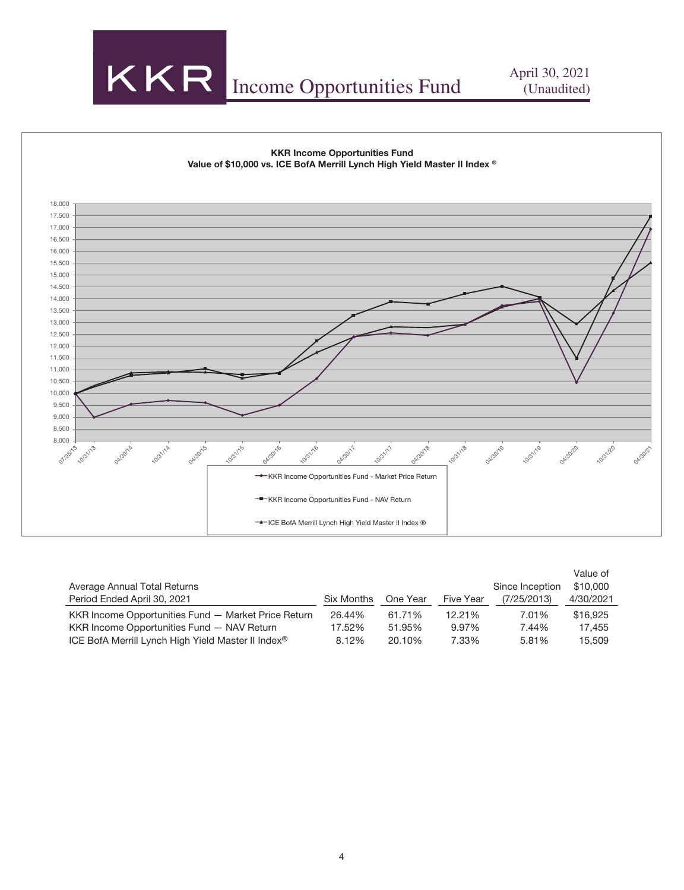



|                                                                |            |          |           |                 | Value of  |
|----------------------------------------------------------------|------------|----------|-----------|-----------------|-----------|
| Average Annual Total Returns                                   |            |          |           | Since Inception | \$10,000  |
| Period Ended April 30, 2021                                    | Six Months | One Year | Five Year | (7/25/2013)     | 4/30/2021 |
| KKR Income Opportunities Fund - Market Price Return            | 26.44%     | 61.71%   | 12.21%    | 7.01%           | \$16,925  |
| KKR Income Opportunities Fund - NAV Return                     | 17.52%     | 51.95%   | 9.97%     | 7.44%           | 17.455    |
| ICE BofA Merrill Lynch High Yield Master II Index <sup>®</sup> | 8.12%      | 20.10%   | 7.33%     | 5.81%           | 15,509    |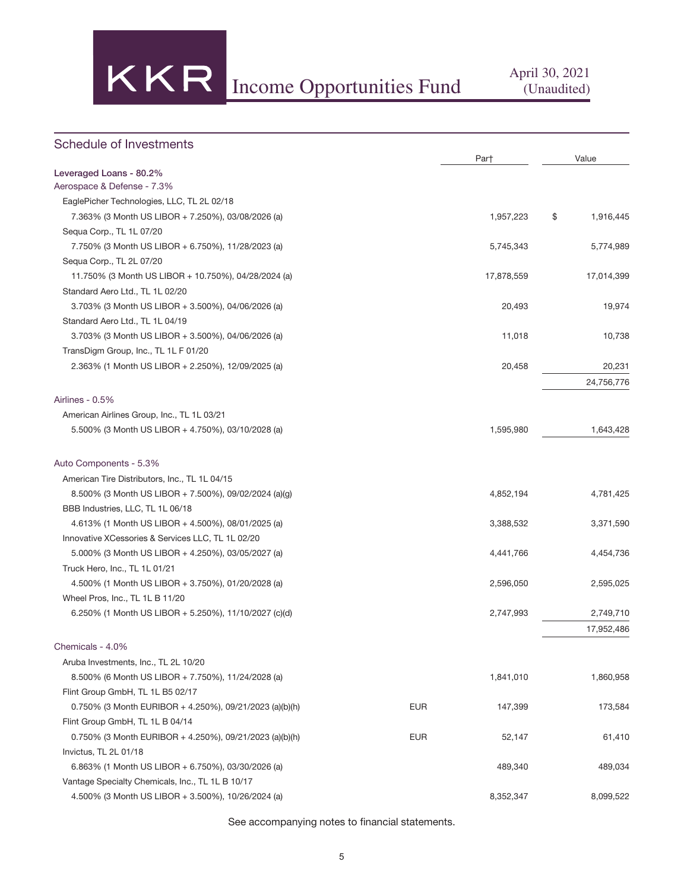

| Schedule of Investments                                 |            |            |                 |
|---------------------------------------------------------|------------|------------|-----------------|
| Leveraged Loans - 80.2%                                 |            | Par†       | Value           |
| Aerospace & Defense - 7.3%                              |            |            |                 |
| EaglePicher Technologies, LLC, TL 2L 02/18              |            |            |                 |
| 7.363% (3 Month US LIBOR + 7.250%), 03/08/2026 (a)      |            | 1,957,223  | \$<br>1,916,445 |
| Sequa Corp., TL 1L 07/20                                |            |            |                 |
| 7.750% (3 Month US LIBOR + 6.750%), 11/28/2023 (a)      |            | 5,745,343  | 5,774,989       |
| Sequa Corp., TL 2L 07/20                                |            |            |                 |
| 11.750% (3 Month US LIBOR + 10.750%), 04/28/2024 (a)    |            | 17,878,559 | 17,014,399      |
| Standard Aero Ltd., TL 1L 02/20                         |            |            |                 |
| 3.703% (3 Month US LIBOR + 3.500%), 04/06/2026 (a)      |            | 20,493     | 19,974          |
| Standard Aero Ltd., TL 1L 04/19                         |            |            |                 |
| 3.703% (3 Month US LIBOR + 3.500%), 04/06/2026 (a)      |            | 11,018     | 10,738          |
| TransDigm Group, Inc., TL 1L F 01/20                    |            |            |                 |
| 2.363% (1 Month US LIBOR + 2.250%), 12/09/2025 (a)      |            | 20,458     | 20,231          |
|                                                         |            |            | 24,756,776      |
|                                                         |            |            |                 |
| Airlines - 0.5%                                         |            |            |                 |
| American Airlines Group, Inc., TL 1L 03/21              |            |            |                 |
| 5.500% (3 Month US LIBOR + 4.750%), 03/10/2028 (a)      |            | 1,595,980  | 1,643,428       |
| Auto Components - 5.3%                                  |            |            |                 |
| American Tire Distributors, Inc., TL 1L 04/15           |            |            |                 |
| 8.500% (3 Month US LIBOR + 7.500%), 09/02/2024 (a)(g)   |            | 4,852,194  | 4,781,425       |
| BBB Industries, LLC, TL 1L 06/18                        |            |            |                 |
| 4.613% (1 Month US LIBOR + 4.500%), 08/01/2025 (a)      |            | 3,388,532  | 3,371,590       |
| Innovative XCessories & Services LLC, TL 1L 02/20       |            |            |                 |
| 5.000% (3 Month US LIBOR + 4.250%), 03/05/2027 (a)      |            | 4,441,766  | 4,454,736       |
| Truck Hero, Inc., TL 1L 01/21                           |            |            |                 |
| 4.500% (1 Month US LIBOR + 3.750%), 01/20/2028 (a)      |            | 2,596,050  | 2,595,025       |
| Wheel Pros, Inc., TL 1L B 11/20                         |            |            |                 |
| 6.250% (1 Month US LIBOR + 5.250%), 11/10/2027 (c)(d)   |            | 2,747,993  | 2,749,710       |
|                                                         |            |            | 17,952,486      |
| Chemicals - 4.0%                                        |            |            |                 |
| Aruba Investments, Inc., TL 2L 10/20                    |            |            |                 |
| 8.500% (6 Month US LIBOR + 7.750%), 11/24/2028 (a)      |            | 1,841,010  | 1,860,958       |
| Flint Group GmbH, TL 1L B5 02/17                        |            |            |                 |
| 0.750% (3 Month EURIBOR + 4.250%), 09/21/2023 (a)(b)(h) | <b>EUR</b> | 147,399    | 173,584         |
| Flint Group GmbH, TL 1L B 04/14                         |            |            |                 |
| 0.750% (3 Month EURIBOR + 4.250%), 09/21/2023 (a)(b)(h) | <b>EUR</b> | 52,147     | 61,410          |
| Invictus, TL 2L 01/18                                   |            |            |                 |
| 6.863% (1 Month US LIBOR + 6.750%), 03/30/2026 (a)      |            | 489,340    | 489,034         |
| Vantage Specialty Chemicals, Inc., TL 1L B 10/17        |            |            |                 |
| 4.500% (3 Month US LIBOR + 3.500%), 10/26/2024 (a)      |            | 8,352,347  | 8,099,522       |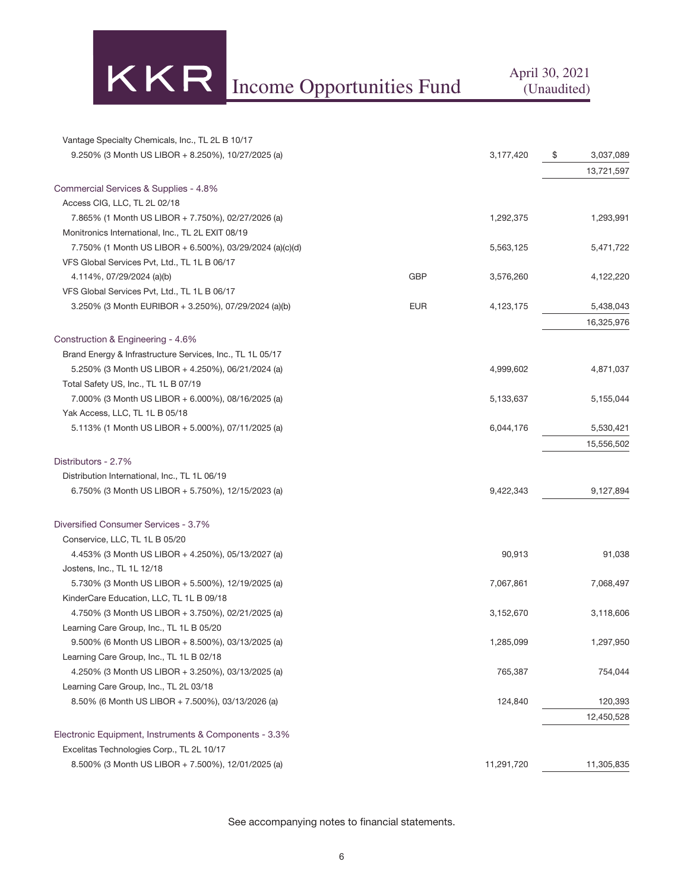KKR Income Opportunities Fund April 30, 2021

| Vantage Specialty Chemicals, Inc., TL 2L B 10/17          |            |            |                 |
|-----------------------------------------------------------|------------|------------|-----------------|
| 9.250% (3 Month US LIBOR + 8.250%), 10/27/2025 (a)        |            | 3,177,420  | 3,037,089<br>\$ |
|                                                           |            |            | 13,721,597      |
| Commercial Services & Supplies - 4.8%                     |            |            |                 |
| Access CIG, LLC, TL 2L 02/18                              |            |            |                 |
| 7.865% (1 Month US LIBOR + 7.750%), 02/27/2026 (a)        |            | 1,292,375  | 1,293,991       |
| Monitronics International, Inc., TL 2L EXIT 08/19         |            |            |                 |
| 7.750% (1 Month US LIBOR + 6.500%), 03/29/2024 (a)(c)(d)  |            | 5,563,125  | 5,471,722       |
| VFS Global Services Pvt, Ltd., TL 1L B 06/17              |            |            |                 |
| 4.114%, 07/29/2024 (a)(b)                                 | <b>GBP</b> | 3,576,260  | 4,122,220       |
| VFS Global Services Pvt, Ltd., TL 1L B 06/17              |            |            |                 |
| 3.250% (3 Month EURIBOR + 3.250%), 07/29/2024 (a)(b)      | <b>EUR</b> | 4,123,175  | 5,438,043       |
|                                                           |            |            | 16,325,976      |
| Construction & Engineering - 4.6%                         |            |            |                 |
| Brand Energy & Infrastructure Services, Inc., TL 1L 05/17 |            |            |                 |
| 5.250% (3 Month US LIBOR + 4.250%), 06/21/2024 (a)        |            | 4,999,602  | 4,871,037       |
| Total Safety US, Inc., TL 1L B 07/19                      |            |            |                 |
| 7.000% (3 Month US LIBOR + 6.000%), 08/16/2025 (a)        |            | 5,133,637  | 5,155,044       |
| Yak Access, LLC, TL 1L B 05/18                            |            |            |                 |
| 5.113% (1 Month US LIBOR + 5.000%), 07/11/2025 (a)        |            | 6,044,176  | 5,530,421       |
|                                                           |            |            | 15,556,502      |
|                                                           |            |            |                 |
| Distributors - 2.7%                                       |            |            |                 |
| Distribution International, Inc., TL 1L 06/19             |            |            |                 |
| 6.750% (3 Month US LIBOR + 5.750%), 12/15/2023 (a)        |            | 9,422,343  | 9,127,894       |
| Diversified Consumer Services - 3.7%                      |            |            |                 |
| Conservice, LLC, TL 1L B 05/20                            |            |            |                 |
| 4.453% (3 Month US LIBOR + 4.250%), 05/13/2027 (a)        |            | 90,913     | 91,038          |
| Jostens, Inc., TL 1L 12/18                                |            |            |                 |
| 5.730% (3 Month US LIBOR + 5.500%), 12/19/2025 (a)        |            | 7,067,861  | 7,068,497       |
| KinderCare Education, LLC, TL 1L B 09/18                  |            |            |                 |
| 4.750% (3 Month US LIBOR + 3.750%), 02/21/2025 (a)        |            | 3,152,670  | 3,118,606       |
| Learning Care Group, Inc., TL 1L B 05/20                  |            |            |                 |
| 9.500% (6 Month US LIBOR + 8.500%), 03/13/2025 (a)        |            | 1,285,099  | 1,297,950       |
| Learning Care Group, Inc., TL 1L B 02/18                  |            |            |                 |
| 4.250% (3 Month US LIBOR + 3.250%), 03/13/2025 (a)        |            | 765,387    | 754,044         |
| Learning Care Group, Inc., TL 2L 03/18                    |            |            |                 |
| 8.50% (6 Month US LIBOR + 7.500%), 03/13/2026 (a)         |            | 124,840    | 120,393         |
|                                                           |            |            | 12,450,528      |
| Electronic Equipment, Instruments & Components - 3.3%     |            |            |                 |
| Excelitas Technologies Corp., TL 2L 10/17                 |            |            |                 |
| 8.500% (3 Month US LIBOR + 7.500%), 12/01/2025 (a)        |            | 11,291,720 | 11,305,835      |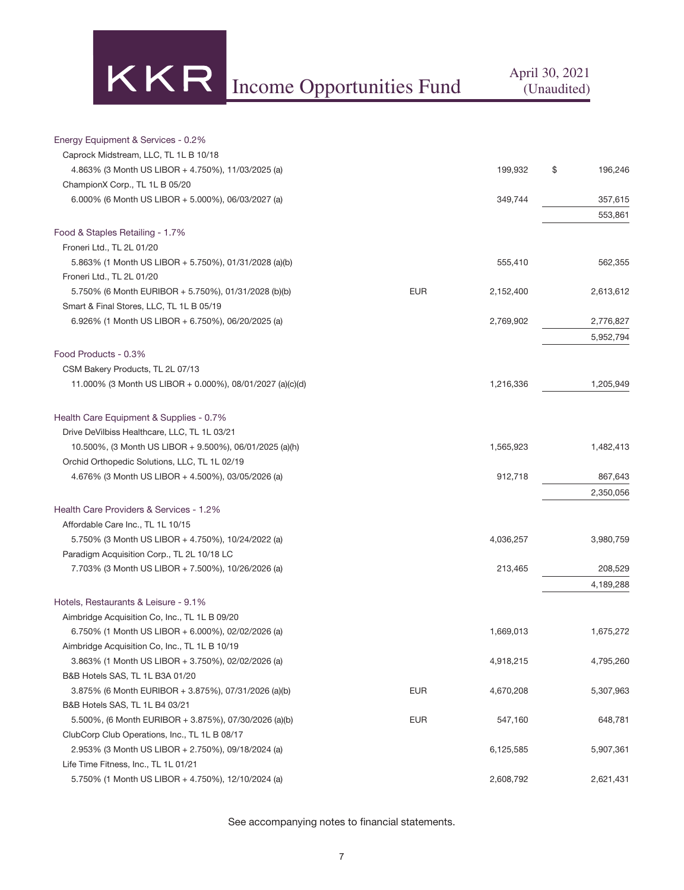

| Energy Equipment & Services - 0.2%                                                                  |            |           |               |
|-----------------------------------------------------------------------------------------------------|------------|-----------|---------------|
| Caprock Midstream, LLC, TL 1L B 10/18                                                               |            |           |               |
| 4.863% (3 Month US LIBOR + 4.750%), 11/03/2025 (a)                                                  |            | 199,932   | \$<br>196,246 |
| ChampionX Corp., TL 1L B 05/20                                                                      |            |           |               |
| 6.000% (6 Month US LIBOR + 5.000%), 06/03/2027 (a)                                                  |            | 349,744   | 357,615       |
|                                                                                                     |            |           | 553,861       |
| Food & Staples Retailing - 1.7%                                                                     |            |           |               |
| Froneri Ltd., TL 2L 01/20                                                                           |            |           |               |
| 5.863% (1 Month US LIBOR + 5.750%), 01/31/2028 (a)(b)                                               |            | 555,410   | 562,355       |
| Froneri Ltd., TL 2L 01/20                                                                           |            |           |               |
| 5.750% (6 Month EURIBOR + 5.750%), 01/31/2028 (b)(b)                                                | <b>EUR</b> | 2,152,400 | 2,613,612     |
| Smart & Final Stores, LLC, TL 1L B 05/19                                                            |            |           |               |
| 6.926% (1 Month US LIBOR + 6.750%), 06/20/2025 (a)                                                  |            | 2,769,902 | 2,776,827     |
|                                                                                                     |            |           | 5,952,794     |
| Food Products - 0.3%                                                                                |            |           |               |
| CSM Bakery Products, TL 2L 07/13                                                                    |            |           |               |
| 11.000% (3 Month US LIBOR + 0.000%), 08/01/2027 (a)(c)(d)                                           |            | 1,216,336 | 1,205,949     |
|                                                                                                     |            |           |               |
| Health Care Equipment & Supplies - 0.7%                                                             |            |           |               |
| Drive DeVilbiss Healthcare, LLC, TL 1L 03/21                                                        |            |           |               |
| 10.500%, (3 Month US LIBOR + 9.500%), 06/01/2025 (a)(h)                                             |            | 1,565,923 | 1,482,413     |
| Orchid Orthopedic Solutions, LLC, TL 1L 02/19<br>4.676% (3 Month US LIBOR + 4.500%), 03/05/2026 (a) |            | 912,718   | 867,643       |
|                                                                                                     |            |           | 2,350,056     |
| Health Care Providers & Services - 1.2%                                                             |            |           |               |
| Affordable Care Inc., TL 1L 10/15                                                                   |            |           |               |
| 5.750% (3 Month US LIBOR + 4.750%), 10/24/2022 (a)                                                  |            | 4,036,257 | 3,980,759     |
| Paradigm Acquisition Corp., TL 2L 10/18 LC                                                          |            |           |               |
| 7.703% (3 Month US LIBOR + 7.500%), 10/26/2026 (a)                                                  |            | 213,465   | 208,529       |
|                                                                                                     |            |           | 4,189,288     |
| Hotels, Restaurants & Leisure - 9.1%                                                                |            |           |               |
| Aimbridge Acquisition Co, Inc., TL 1L B 09/20                                                       |            |           |               |
| 6.750% (1 Month US LIBOR + 6.000%), 02/02/2026 (a)                                                  |            | 1,669,013 | 1,675,272     |
| Aimbridge Acquisition Co, Inc., TL 1L B 10/19                                                       |            |           |               |
| 3.863% (1 Month US LIBOR + 3.750%), 02/02/2026 (a)                                                  |            | 4,918,215 | 4,795,260     |
| B&B Hotels SAS, TL 1L B3A 01/20                                                                     |            |           |               |
| 3.875% (6 Month EURIBOR + 3.875%), 07/31/2026 (a)(b)                                                | <b>EUR</b> | 4,670,208 | 5,307,963     |
| B&B Hotels SAS, TL 1L B4 03/21                                                                      |            |           |               |
| 5.500%, (6 Month EURIBOR + 3.875%), 07/30/2026 (a)(b)                                               | <b>EUR</b> | 547,160   | 648,781       |
| ClubCorp Club Operations, Inc., TL 1L B 08/17                                                       |            |           |               |
| 2.953% (3 Month US LIBOR + 2.750%), 09/18/2024 (a)                                                  |            | 6,125,585 | 5,907,361     |
| Life Time Fitness, Inc., TL 1L 01/21                                                                |            |           |               |
| 5.750% (1 Month US LIBOR + 4.750%), 12/10/2024 (a)                                                  |            | 2,608,792 | 2,621,431     |
|                                                                                                     |            |           |               |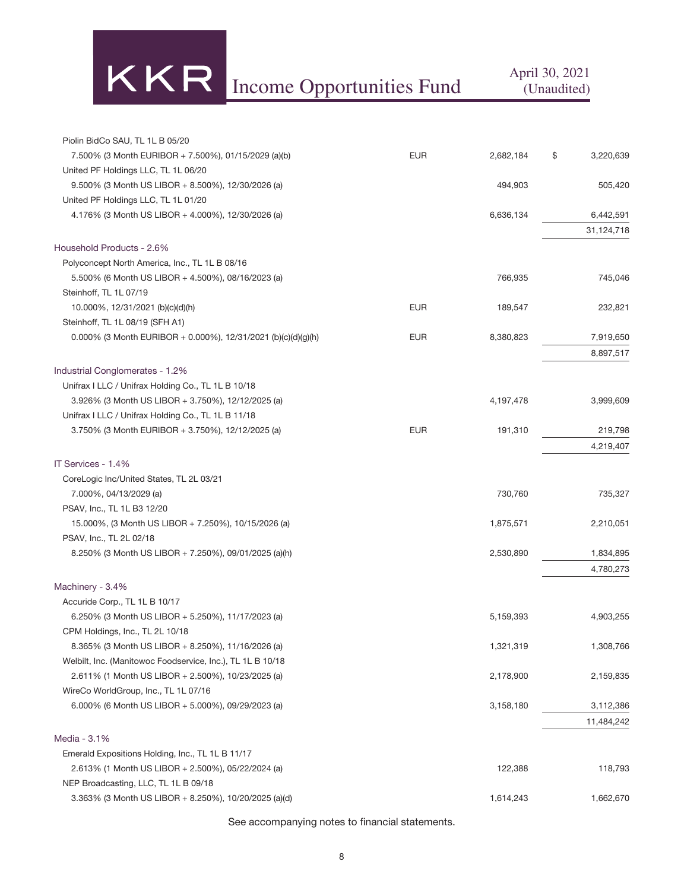# Income Opportunities Fund April 30, 2021

| Piolin BidCo SAU, TL 1L B 05/20                               |            |           |                 |
|---------------------------------------------------------------|------------|-----------|-----------------|
| 7.500% (3 Month EURIBOR + 7.500%), 01/15/2029 (a)(b)          | <b>EUR</b> | 2,682,184 | \$<br>3,220,639 |
| United PF Holdings LLC, TL 1L 06/20                           |            |           |                 |
| $9.500\%$ (3 Month US LIBOR + 8.500%), 12/30/2026 (a)         |            | 494,903   | 505,420         |
| United PF Holdings LLC, TL 1L 01/20                           |            |           |                 |
| 4.176% (3 Month US LIBOR + 4.000%), 12/30/2026 (a)            |            | 6,636,134 | 6,442,591       |
|                                                               |            |           | 31,124,718      |
| Household Products - 2.6%                                     |            |           |                 |
| Polyconcept North America, Inc., TL 1L B 08/16                |            |           |                 |
| 5.500% (6 Month US LIBOR + 4.500%), 08/16/2023 (a)            |            | 766,935   | 745,046         |
| Steinhoff, TL 1L 07/19                                        |            |           |                 |
| 10.000%, 12/31/2021 (b)(c)(d)(h)                              | <b>EUR</b> | 189,547   | 232,821         |
| Steinhoff, TL 1L 08/19 (SFH A1)                               |            |           |                 |
| 0.000% (3 Month EURIBOR + 0.000%), 12/31/2021 (b)(c)(d)(g)(h) | <b>EUR</b> | 8,380,823 | 7,919,650       |
|                                                               |            |           | 8,897,517       |
| Industrial Conglomerates - 1.2%                               |            |           |                 |
| Unifrax I LLC / Unifrax Holding Co., TL 1L B 10/18            |            |           |                 |
| 3.926% (3 Month US LIBOR + 3.750%), 12/12/2025 (a)            |            | 4,197,478 | 3,999,609       |
| Unifrax I LLC / Unifrax Holding Co., TL 1L B 11/18            |            |           |                 |
| 3.750% (3 Month EURIBOR + 3.750%), 12/12/2025 (a)             | <b>EUR</b> | 191,310   | 219,798         |
|                                                               |            |           | 4,219,407       |
| IT Services - 1.4%                                            |            |           |                 |
| CoreLogic Inc/United States, TL 2L 03/21                      |            |           |                 |
| 7.000%, 04/13/2029 (a)                                        |            | 730,760   | 735,327         |
| PSAV, Inc., TL 1L B3 12/20                                    |            |           |                 |
| 15.000%, (3 Month US LIBOR + 7.250%), 10/15/2026 (a)          |            | 1,875,571 | 2,210,051       |
| PSAV, Inc., TL 2L 02/18                                       |            |           |                 |
| 8.250% (3 Month US LIBOR + 7.250%), 09/01/2025 (a)(h)         |            | 2,530,890 | 1,834,895       |
|                                                               |            |           | 4,780,273       |
| Machinery - 3.4%                                              |            |           |                 |
| Accuride Corp., TL 1L B 10/17                                 |            |           |                 |
| 6.250% (3 Month US LIBOR + 5.250%), 11/17/2023 (a)            |            | 5,159,393 | 4,903,255       |
| CPM Holdings, Inc., TL 2L 10/18                               |            |           |                 |
| 8.365% (3 Month US LIBOR + 8.250%), 11/16/2026 (a)            |            | 1,321,319 | 1,308,766       |
| Welbilt, Inc. (Manitowoc Foodservice, Inc.), TL 1L B 10/18    |            |           |                 |
| 2.611% (1 Month US LIBOR + 2.500%), 10/23/2025 (a)            |            | 2,178,900 | 2,159,835       |
| WireCo WorldGroup, Inc., TL 1L 07/16                          |            |           |                 |
| 6.000% (6 Month US LIBOR + 5.000%), 09/29/2023 (a)            |            | 3,158,180 | 3,112,386       |
|                                                               |            |           | 11,484,242      |
| Media - 3.1%                                                  |            |           |                 |
| Emerald Expositions Holding, Inc., TL 1L B 11/17              |            |           |                 |
| 2.613% (1 Month US LIBOR + 2.500%), 05/22/2024 (a)            |            | 122,388   | 118,793         |
| NEP Broadcasting, LLC, TL 1L B 09/18                          |            |           |                 |
| 3.363% (3 Month US LIBOR + 8.250%), 10/20/2025 (a)(d)         |            | 1,614,243 | 1,662,670       |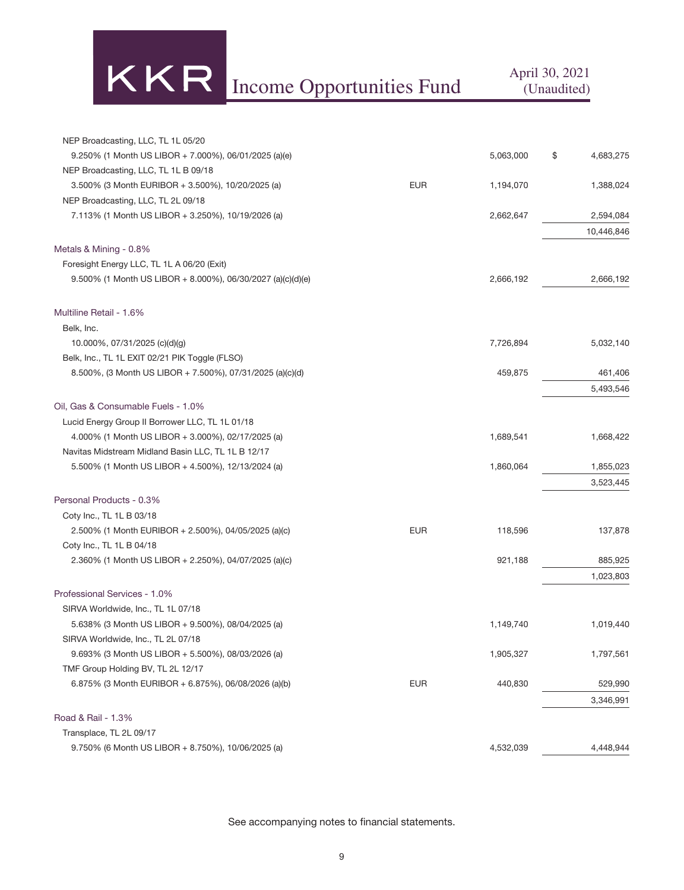# KKR Income Opportunities Fund April 30, 2021

| NEP Broadcasting, LLC, TL 1L 05/20                          |            |           |                 |
|-------------------------------------------------------------|------------|-----------|-----------------|
| 9.250% (1 Month US LIBOR + 7.000%), 06/01/2025 (a)(e)       |            | 5,063,000 | \$<br>4,683,275 |
| NEP Broadcasting, LLC, TL 1L B 09/18                        |            |           |                 |
| 3.500% (3 Month EURIBOR + 3.500%), 10/20/2025 (a)           | <b>EUR</b> | 1,194,070 | 1,388,024       |
| NEP Broadcasting, LLC, TL 2L 09/18                          |            |           |                 |
| 7.113% (1 Month US LIBOR + 3.250%), 10/19/2026 (a)          |            | 2,662,647 | 2,594,084       |
|                                                             |            |           | 10,446,846      |
| Metals & Mining - 0.8%                                      |            |           |                 |
| Foresight Energy LLC, TL 1L A 06/20 (Exit)                  |            |           |                 |
| 9.500% (1 Month US LIBOR + 8.000%), 06/30/2027 (a)(c)(d)(e) |            | 2,666,192 | 2,666,192       |
| Multiline Retail - 1.6%                                     |            |           |                 |
| Belk, Inc.                                                  |            |           |                 |
| 10.000%, 07/31/2025 (c)(d)(g)                               |            | 7,726,894 | 5,032,140       |
| Belk, Inc., TL 1L EXIT 02/21 PIK Toggle (FLSO)              |            |           |                 |
| 8.500%, (3 Month US LIBOR + 7.500%), 07/31/2025 (a)(c)(d)   |            | 459,875   | 461,406         |
|                                                             |            |           | 5,493,546       |
| Oil, Gas & Consumable Fuels - 1.0%                          |            |           |                 |
| Lucid Energy Group II Borrower LLC, TL 1L 01/18             |            |           |                 |
| 4.000% (1 Month US LIBOR + 3.000%), 02/17/2025 (a)          |            | 1,689,541 | 1,668,422       |
| Navitas Midstream Midland Basin LLC, TL 1L B 12/17          |            |           |                 |
| 5.500% (1 Month US LIBOR + 4.500%), 12/13/2024 (a)          |            | 1,860,064 | 1,855,023       |
|                                                             |            |           | 3,523,445       |
| Personal Products - 0.3%                                    |            |           |                 |
| Coty Inc., TL 1L B 03/18                                    |            |           |                 |
| 2.500% (1 Month EURIBOR + 2.500%), 04/05/2025 (a)(c)        | <b>EUR</b> | 118,596   | 137,878         |
| Coty Inc., TL 1L B 04/18                                    |            |           |                 |
| 2.360% (1 Month US LIBOR + 2.250%), 04/07/2025 (a)(c)       |            | 921,188   | 885,925         |
|                                                             |            |           | 1,023,803       |
| Professional Services - 1.0%                                |            |           |                 |
| SIRVA Worldwide, Inc., TL 1L 07/18                          |            |           |                 |
| 5.638% (3 Month US LIBOR + 9.500%), 08/04/2025 (a)          |            | 1,149,740 | 1,019,440       |
| SIRVA Worldwide, Inc., TL 2L 07/18                          |            |           |                 |
| 9.693% (3 Month US LIBOR + 5.500%), 08/03/2026 (a)          |            | 1,905,327 | 1,797,561       |
| TMF Group Holding BV, TL 2L 12/17                           |            |           |                 |
| 6.875% (3 Month EURIBOR + 6.875%), 06/08/2026 (a)(b)        | <b>EUR</b> | 440,830   | 529,990         |
|                                                             |            |           | 3,346,991       |
| Road & Rail - 1.3%                                          |            |           |                 |
| Transplace, TL 2L 09/17                                     |            |           |                 |
| 9.750% (6 Month US LIBOR + 8.750%), 10/06/2025 (a)          |            | 4,532,039 | 4,448,944       |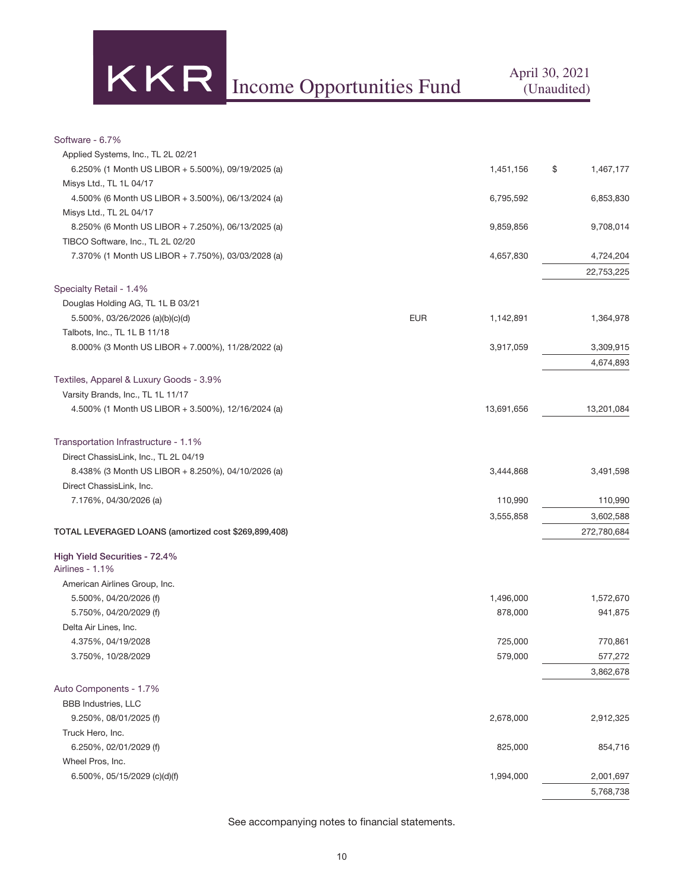KR Income Opportunities Fund April 30, 2021

#### Software - 6.7%

| Applied Systems, Inc., TL 2L 02/21                   |            |            |                 |
|------------------------------------------------------|------------|------------|-----------------|
| 6.250% (1 Month US LIBOR + 5.500%), 09/19/2025 (a)   |            | 1,451,156  | \$<br>1,467,177 |
| Misys Ltd., TL 1L 04/17                              |            |            |                 |
| 4.500% (6 Month US LIBOR + 3.500%), 06/13/2024 (a)   |            | 6,795,592  | 6,853,830       |
| Misys Ltd., TL 2L 04/17                              |            |            |                 |
| 8.250% (6 Month US LIBOR + 7.250%), 06/13/2025 (a)   |            | 9,859,856  | 9,708,014       |
| TIBCO Software, Inc., TL 2L 02/20                    |            |            |                 |
| 7.370% (1 Month US LIBOR + 7.750%), 03/03/2028 (a)   |            | 4,657,830  | 4,724,204       |
|                                                      |            |            | 22,753,225      |
| Specialty Retail - 1.4%                              |            |            |                 |
| Douglas Holding AG, TL 1L B 03/21                    |            |            |                 |
| 5.500%, 03/26/2026 (a)(b)(c)(d)                      | <b>EUR</b> | 1,142,891  | 1,364,978       |
| Talbots, Inc., TL 1L B 11/18                         |            |            |                 |
| 8.000% (3 Month US LIBOR + 7.000%), 11/28/2022 (a)   |            | 3,917,059  | 3,309,915       |
|                                                      |            |            |                 |
|                                                      |            |            | 4,674,893       |
| Textiles, Apparel & Luxury Goods - 3.9%              |            |            |                 |
| Varsity Brands, Inc., TL 1L 11/17                    |            |            |                 |
| 4.500% (1 Month US LIBOR + 3.500%), 12/16/2024 (a)   |            | 13,691,656 | 13,201,084      |
| Transportation Infrastructure - 1.1%                 |            |            |                 |
| Direct ChassisLink, Inc., TL 2L 04/19                |            |            |                 |
| 8.438% (3 Month US LIBOR + 8.250%), 04/10/2026 (a)   |            | 3,444,868  | 3,491,598       |
| Direct ChassisLink, Inc.                             |            |            |                 |
| 7.176%, 04/30/2026 (a)                               |            | 110,990    | 110,990         |
|                                                      |            | 3,555,858  | 3,602,588       |
| TOTAL LEVERAGED LOANS (amortized cost \$269,899,408) |            |            | 272,780,684     |
| High Yield Securities - 72.4%<br>Airlines - 1.1%     |            |            |                 |
| American Airlines Group, Inc.                        |            |            |                 |
| 5.500%, 04/20/2026 (f)                               |            | 1,496,000  | 1,572,670       |
| 5.750%, 04/20/2029 (f)                               |            | 878,000    | 941,875         |
| Delta Air Lines, Inc.                                |            |            |                 |
| 4.375%, 04/19/2028                                   |            | 725,000    | 770,861         |
| 3.750%, 10/28/2029                                   |            | 579,000    | 577,272         |
|                                                      |            |            | 3,862,678       |
| Auto Components - 1.7%                               |            |            |                 |
| <b>BBB Industries, LLC</b>                           |            |            |                 |
| 9.250%, 08/01/2025 (f)                               |            | 2,678,000  | 2,912,325       |
| Truck Hero, Inc.                                     |            |            |                 |
| 6.250%, 02/01/2029 (f)                               |            | 825,000    | 854,716         |
| Wheel Pros, Inc.                                     |            |            |                 |
| 6.500%, 05/15/2029 (c)(d)(f)                         |            | 1,994,000  | 2,001,697       |
|                                                      |            |            | 5,768,738       |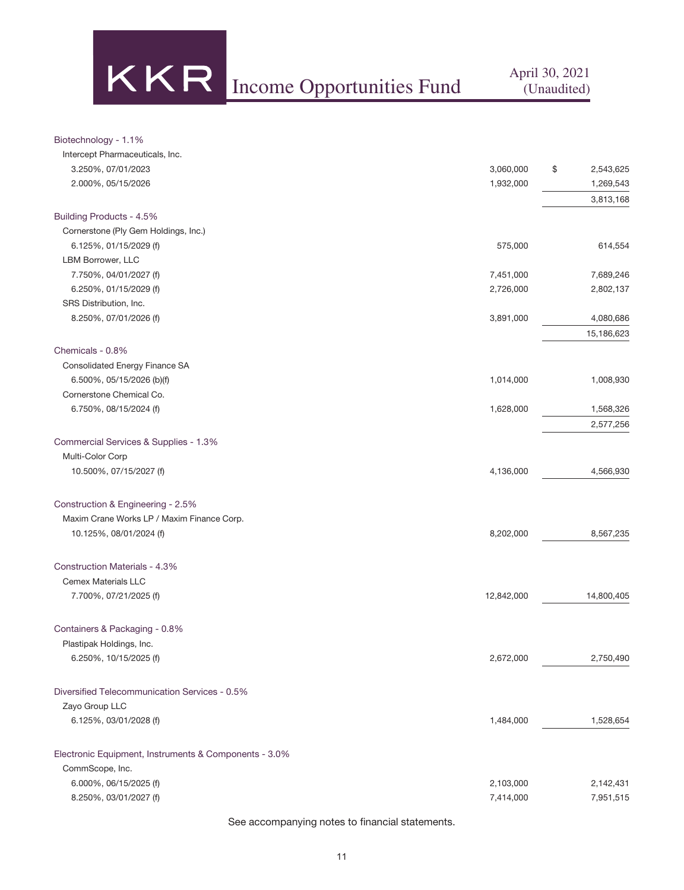

#### Biotechnology - 1.1%

| Intercept Pharmaceuticals, Inc.                       |            |                 |
|-------------------------------------------------------|------------|-----------------|
| 3.250%, 07/01/2023                                    | 3,060,000  | \$<br>2,543,625 |
| 2.000%, 05/15/2026                                    | 1,932,000  | 1,269,543       |
|                                                       |            | 3,813,168       |
| Building Products - 4.5%                              |            |                 |
| Cornerstone (Ply Gem Holdings, Inc.)                  |            |                 |
| 6.125%, 01/15/2029 (f)                                | 575,000    | 614,554         |
| LBM Borrower, LLC                                     |            |                 |
| 7.750%, 04/01/2027 (f)                                | 7,451,000  | 7,689,246       |
| 6.250%, 01/15/2029 (f)                                | 2,726,000  | 2,802,137       |
| SRS Distribution, Inc.                                |            |                 |
| 8.250%, 07/01/2026 (f)                                | 3,891,000  | 4,080,686       |
|                                                       |            | 15,186,623      |
| Chemicals - 0.8%                                      |            |                 |
| Consolidated Energy Finance SA                        |            |                 |
| 6.500%, 05/15/2026 (b)(f)                             | 1,014,000  | 1,008,930       |
| Cornerstone Chemical Co.                              |            |                 |
| 6.750%, 08/15/2024 (f)                                | 1,628,000  | 1,568,326       |
|                                                       |            | 2,577,256       |
| Commercial Services & Supplies - 1.3%                 |            |                 |
| Multi-Color Corp                                      |            |                 |
| 10.500%, 07/15/2027 (f)                               | 4,136,000  | 4,566,930       |
|                                                       |            |                 |
| Construction & Engineering - 2.5%                     |            |                 |
| Maxim Crane Works LP / Maxim Finance Corp.            |            |                 |
| 10.125%, 08/01/2024 (f)                               | 8,202,000  | 8,567,235       |
|                                                       |            |                 |
| <b>Construction Materials - 4.3%</b>                  |            |                 |
| <b>Cemex Materials LLC</b>                            |            |                 |
| 7.700%, 07/21/2025 (f)                                | 12,842,000 | 14,800,405      |
|                                                       |            |                 |
| Containers & Packaging - 0.8%                         |            |                 |
| Plastipak Holdings, Inc.                              |            |                 |
| 6.250%, 10/15/2025 (f)                                | 2,672,000  | 2,750,490       |
|                                                       |            |                 |
| Diversified Telecommunication Services - 0.5%         |            |                 |
| Zayo Group LLC                                        |            |                 |
| 6.125%, 03/01/2028 (f)                                | 1,484,000  | 1,528,654       |
|                                                       |            |                 |
| Electronic Equipment, Instruments & Components - 3.0% |            |                 |
| CommScope, Inc.                                       |            |                 |
| 6.000%, 06/15/2025 (f)                                | 2,103,000  | 2,142,431       |
| 8.250%, 03/01/2027 (f)                                | 7,414,000  | 7,951,515       |
|                                                       |            |                 |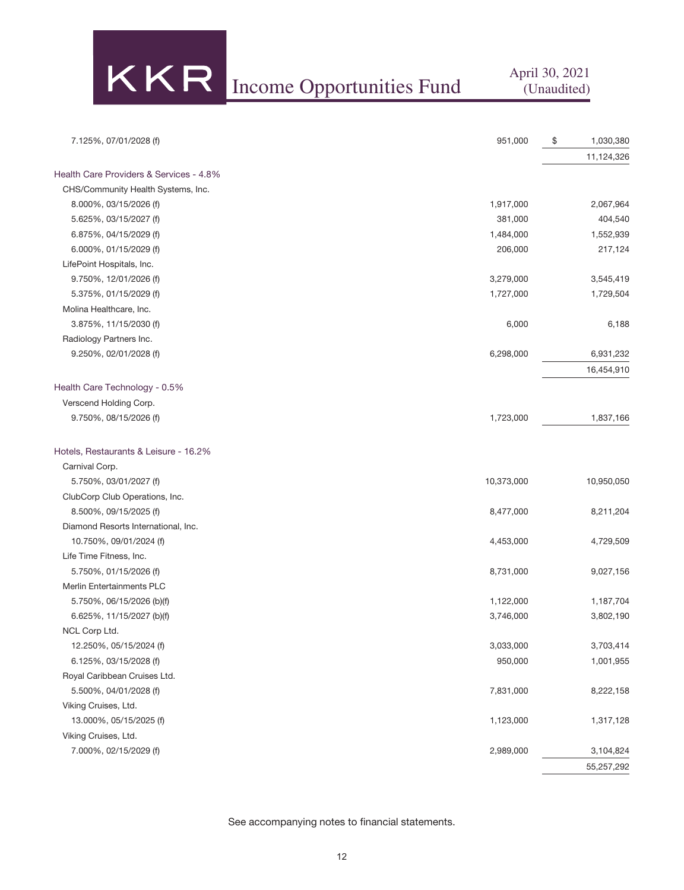Income Opportunities Fund April 30, 2021

(Unaudited)

| 7.125%, 07/01/2028 (f)                  | 951,000    | \$<br>1,030,380 |
|-----------------------------------------|------------|-----------------|
|                                         |            | 11,124,326      |
| Health Care Providers & Services - 4.8% |            |                 |
| CHS/Community Health Systems, Inc.      |            |                 |
| 8.000%, 03/15/2026 (f)                  | 1,917,000  | 2,067,964       |
| 5.625%, 03/15/2027 (f)                  | 381,000    | 404,540         |
| 6.875%, 04/15/2029 (f)                  | 1,484,000  | 1,552,939       |
| 6.000%, 01/15/2029 (f)                  | 206,000    | 217,124         |
| LifePoint Hospitals, Inc.               |            |                 |
| 9.750%, 12/01/2026 (f)                  | 3,279,000  | 3,545,419       |
| 5.375%, 01/15/2029 (f)                  | 1,727,000  | 1,729,504       |
| Molina Healthcare, Inc.                 |            |                 |
| 3.875%, 11/15/2030 (f)                  | 6,000      | 6,188           |
| Radiology Partners Inc.                 |            |                 |
| 9.250%, 02/01/2028 (f)                  | 6,298,000  | 6,931,232       |
|                                         |            | 16,454,910      |
| Health Care Technology - 0.5%           |            |                 |
| Verscend Holding Corp.                  |            |                 |
| 9.750%, 08/15/2026 (f)                  | 1,723,000  | 1,837,166       |
| Hotels, Restaurants & Leisure - 16.2%   |            |                 |
| Carnival Corp.                          |            |                 |
| 5.750%, 03/01/2027 (f)                  | 10,373,000 | 10,950,050      |
| ClubCorp Club Operations, Inc.          |            |                 |
| 8.500%, 09/15/2025 (f)                  | 8,477,000  | 8,211,204       |
| Diamond Resorts International, Inc.     |            |                 |
| 10.750%, 09/01/2024 (f)                 | 4,453,000  | 4,729,509       |
| Life Time Fitness, Inc.                 |            |                 |
| 5.750%, 01/15/2026 (f)                  | 8,731,000  | 9,027,156       |
| Merlin Entertainments PLC               |            |                 |
| 5.750%, 06/15/2026 (b)(f)               | 1,122,000  | 1,187,704       |
| 6.625%, $11/15/2027$ (b)(f)             | 3,746,000  | 3,802,190       |
| NCL Corp Ltd.                           |            |                 |
| 12.250%, 05/15/2024 (f)                 | 3,033,000  | 3,703,414       |
| $6.125\%$ , 03/15/2028 (f)              | 950,000    | 1,001,955       |
| Royal Caribbean Cruises Ltd.            |            |                 |
| 5.500%, 04/01/2028 (f)                  | 7,831,000  | 8,222,158       |
| Viking Cruises, Ltd.                    |            |                 |
| 13.000%, 05/15/2025 (f)                 | 1,123,000  | 1,317,128       |
| Viking Cruises, Ltd.                    |            |                 |
| 7.000%, 02/15/2029 (f)                  | 2,989,000  | 3,104,824       |
|                                         |            | 55,257,292      |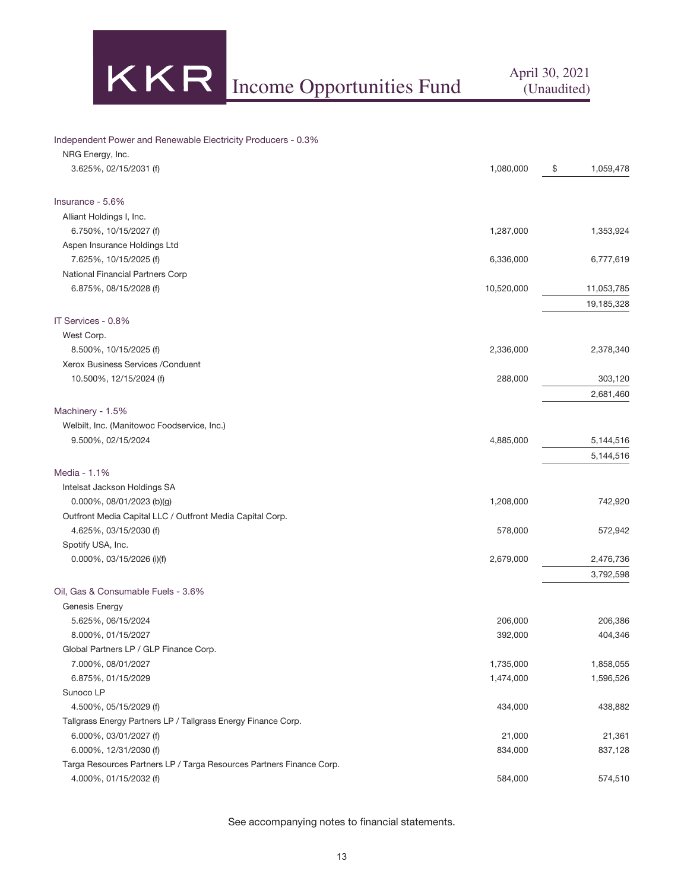

#### Independent Power and Renewable Electricity Producers - 0.3%

| NRG Energy, Inc.                                                     |                        |                 |
|----------------------------------------------------------------------|------------------------|-----------------|
| 3.625%, 02/15/2031 (f)                                               | 1,080,000              | \$<br>1,059,478 |
| Insurance - 5.6%                                                     |                        |                 |
| Alliant Holdings I, Inc.                                             |                        |                 |
| 6.750%, 10/15/2027 (f)                                               | 1,287,000              | 1,353,924       |
| Aspen Insurance Holdings Ltd                                         |                        |                 |
| 7.625%, 10/15/2025 (f)                                               | 6,336,000              | 6,777,619       |
| National Financial Partners Corp                                     |                        |                 |
| 6.875%, 08/15/2028 (f)                                               | 10,520,000             | 11,053,785      |
|                                                                      |                        | 19,185,328      |
| IT Services - 0.8%                                                   |                        |                 |
| West Corp.                                                           |                        |                 |
| 8.500%, 10/15/2025 (f)                                               | 2,336,000              | 2,378,340       |
| Xerox Business Services / Conduent                                   |                        |                 |
| 10.500%, 12/15/2024 (f)                                              | 288,000                | 303,120         |
|                                                                      |                        | 2,681,460       |
| Machinery - 1.5%                                                     |                        |                 |
| Welbilt, Inc. (Manitowoc Foodservice, Inc.)                          |                        |                 |
| 9.500%, 02/15/2024                                                   | 4,885,000              | 5,144,516       |
|                                                                      |                        | 5,144,516       |
| Media - 1.1%                                                         |                        |                 |
| Intelsat Jackson Holdings SA                                         |                        |                 |
| $0.000\%$ , 08/01/2023 (b)(g)                                        | 1,208,000              | 742,920         |
| Outfront Media Capital LLC / Outfront Media Capital Corp.            |                        |                 |
| 4.625%, 03/15/2030 (f)                                               | 578,000                | 572,942         |
| Spotify USA, Inc.                                                    |                        |                 |
| 0.000%, 03/15/2026 (i)(f)                                            | 2,679,000              | 2,476,736       |
|                                                                      |                        | 3,792,598       |
|                                                                      |                        |                 |
| Oil, Gas & Consumable Fuels - 3.6%                                   |                        |                 |
| Genesis Energy                                                       |                        |                 |
| 5.625%, 06/15/2024                                                   | 206,000                | 206,386         |
| 8.000%, 01/15/2027                                                   | 392,000                | 404,346         |
| Global Partners LP / GLP Finance Corp.                               |                        |                 |
| 7.000%, 08/01/2027<br>6.875%, 01/15/2029                             | 1,735,000<br>1,474,000 | 1,858,055       |
| Sunoco LP                                                            |                        | 1,596,526       |
| 4.500%, 05/15/2029 (f)                                               | 434,000                | 438,882         |
| Tallgrass Energy Partners LP / Tallgrass Energy Finance Corp.        |                        |                 |
| 6.000%, 03/01/2027 (f)                                               | 21,000                 | 21,361          |
| 6.000%, 12/31/2030 (f)                                               | 834,000                | 837,128         |
| Targa Resources Partners LP / Targa Resources Partners Finance Corp. |                        |                 |
| 4.000%, 01/15/2032 (f)                                               | 584,000                | 574,510         |
|                                                                      |                        |                 |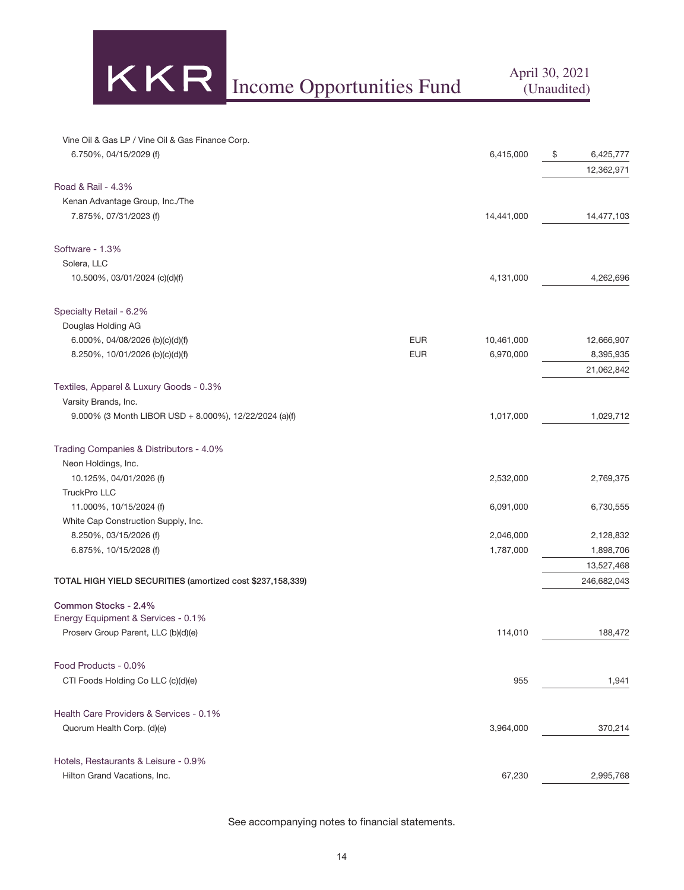KKR Income Opportunities Fund April 30, 2021

| Vine Oil & Gas LP / Vine Oil & Gas Finance Corp. |  |
|--------------------------------------------------|--|
| 6.750%, 04/15/2029 (f)                           |  |

| 6.750%, 04/15/2029 (f)                                     |            | 6,415,000  | \$<br>6,425,777 |
|------------------------------------------------------------|------------|------------|-----------------|
|                                                            |            |            | 12,362,971      |
| Road & Rail - 4.3%                                         |            |            |                 |
| Kenan Advantage Group, Inc./The                            |            |            |                 |
| 7.875%, 07/31/2023 (f)                                     |            | 14,441,000 | 14,477,103      |
| Software - 1.3%                                            |            |            |                 |
| Solera, LLC                                                |            |            |                 |
| 10.500%, 03/01/2024 (c)(d)(f)                              |            | 4,131,000  | 4,262,696       |
| Specialty Retail - 6.2%                                    |            |            |                 |
| Douglas Holding AG                                         |            |            |                 |
| 6.000%, 04/08/2026 (b)(c)(d)(f)                            | <b>EUR</b> | 10,461,000 | 12,666,907      |
| 8.250%, 10/01/2026 (b)(c)(d)(f)                            | <b>EUR</b> | 6,970,000  | 8,395,935       |
|                                                            |            |            | 21,062,842      |
| Textiles, Apparel & Luxury Goods - 0.3%                    |            |            |                 |
| Varsity Brands, Inc.                                       |            |            |                 |
| 9.000% (3 Month LIBOR USD + 8.000%), 12/22/2024 (a)(f)     |            | 1,017,000  | 1,029,712       |
| Trading Companies & Distributors - 4.0%                    |            |            |                 |
| Neon Holdings, Inc.                                        |            |            |                 |
| 10.125%, 04/01/2026 (f)                                    |            | 2,532,000  | 2,769,375       |
| TruckPro LLC                                               |            |            |                 |
| 11.000%, 10/15/2024 (f)                                    |            | 6,091,000  | 6,730,555       |
| White Cap Construction Supply, Inc.                        |            |            |                 |
| 8.250%, 03/15/2026 (f)                                     |            | 2,046,000  | 2,128,832       |
| 6.875%, 10/15/2028 (f)                                     |            | 1,787,000  | 1,898,706       |
|                                                            |            |            | 13,527,468      |
| TOTAL HIGH YIELD SECURITIES (amortized cost \$237,158,339) |            |            | 246,682,043     |
| Common Stocks - 2.4%                                       |            |            |                 |
| Energy Equipment & Services - 0.1%                         |            |            |                 |
| Proserv Group Parent, LLC (b)(d)(e)                        |            | 114,010    | 188,472         |
| Food Products - 0.0%                                       |            |            |                 |
| CTI Foods Holding Co LLC (c)(d)(e)                         |            | 955        | 1,941           |
| Health Care Providers & Services - 0.1%                    |            |            |                 |
| Quorum Health Corp. (d)(e)                                 |            | 3,964,000  | 370,214         |
| Hotels, Restaurants & Leisure - 0.9%                       |            |            |                 |
| Hilton Grand Vacations, Inc.                               |            | 67,230     | 2,995,768       |
|                                                            |            |            |                 |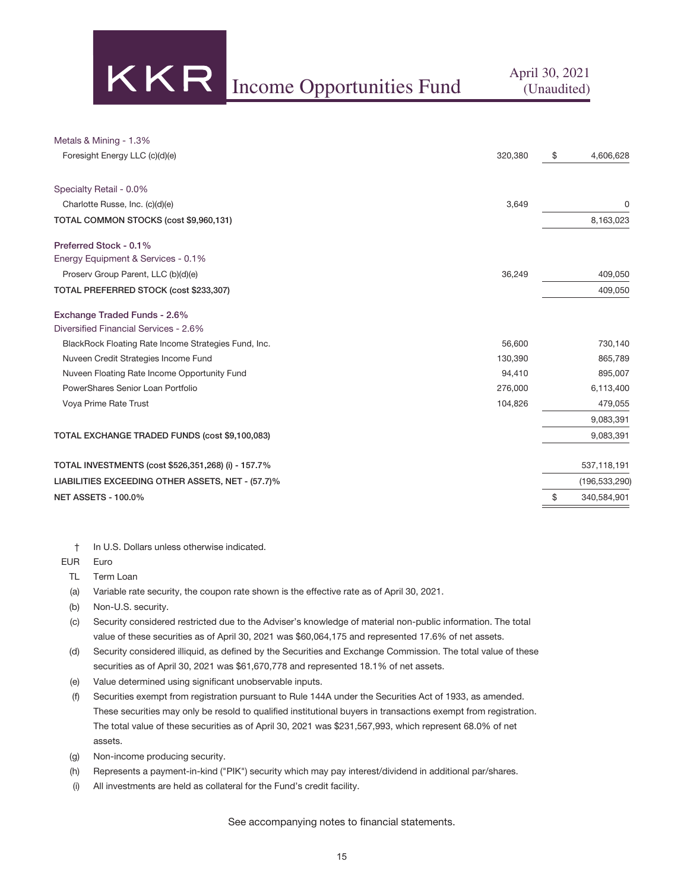KR Income Opportunities Fund April 30, 2021

| Metals & Mining - 1.3%                               |         |                   |
|------------------------------------------------------|---------|-------------------|
| Foresight Energy LLC (c)(d)(e)                       | 320,380 | \$<br>4,606,628   |
| Specialty Retail - 0.0%                              |         |                   |
| Charlotte Russe, Inc. (c)(d)(e)                      | 3,649   | 0                 |
| TOTAL COMMON STOCKS (cost \$9,960,131)               |         | 8,163,023         |
| Preferred Stock - 0.1%                               |         |                   |
| Energy Equipment & Services - 0.1%                   |         |                   |
| Proserv Group Parent, LLC (b)(d)(e)                  | 36,249  | 409,050           |
| TOTAL PREFERRED STOCK (cost \$233,307)               |         | 409,050           |
| Exchange Traded Funds - 2.6%                         |         |                   |
| Diversified Financial Services - 2.6%                |         |                   |
| BlackRock Floating Rate Income Strategies Fund, Inc. | 56,600  | 730,140           |
| Nuveen Credit Strategies Income Fund                 | 130.390 | 865,789           |
| Nuveen Floating Rate Income Opportunity Fund         | 94,410  | 895,007           |
| PowerShares Senior Loan Portfolio                    | 276,000 | 6,113,400         |
| Voya Prime Rate Trust                                | 104,826 | 479,055           |
|                                                      |         | 9,083,391         |
| TOTAL EXCHANGE TRADED FUNDS (cost \$9,100,083)       |         | 9,083,391         |
| TOTAL INVESTMENTS (cost \$526,351,268) (i) - 157.7%  |         | 537,118,191       |
| LIABILITIES EXCEEDING OTHER ASSETS, NET - (57.7)%    |         | (196, 533, 290)   |
| <b>NET ASSETS - 100.0%</b>                           |         | \$<br>340,584,901 |
|                                                      |         |                   |

† In U.S. Dollars unless otherwise indicated.

EUR Euro

- TL Term Loan
- (a) Variable rate security, the coupon rate shown is the effective rate as of April 30, 2021.
- (b) Non-U.S. security.
- (c) Security considered restricted due to the Adviser's knowledge of material non-public information. The total value of these securities as of April 30, 2021 was \$60,064,175 and represented 17.6% of net assets.
- (d) Security considered illiquid, as defined by the Securities and Exchange Commission. The total value of these securities as of April 30, 2021 was \$61,670,778 and represented 18.1% of net assets.
- (e) Value determined using significant unobservable inputs.
- (f) Securities exempt from registration pursuant to Rule 144A under the Securities Act of 1933, as amended. These securities may only be resold to qualified institutional buyers in transactions exempt from registration. The total value of these securities as of April 30, 2021 was \$231,567,993, which represent 68.0% of net assets.
- (g) Non-income producing security.
- (h) Represents a payment-in-kind ("PIK") security which may pay interest/dividend in additional par/shares.
- (i) All investments are held as collateral for the Fund's credit facility.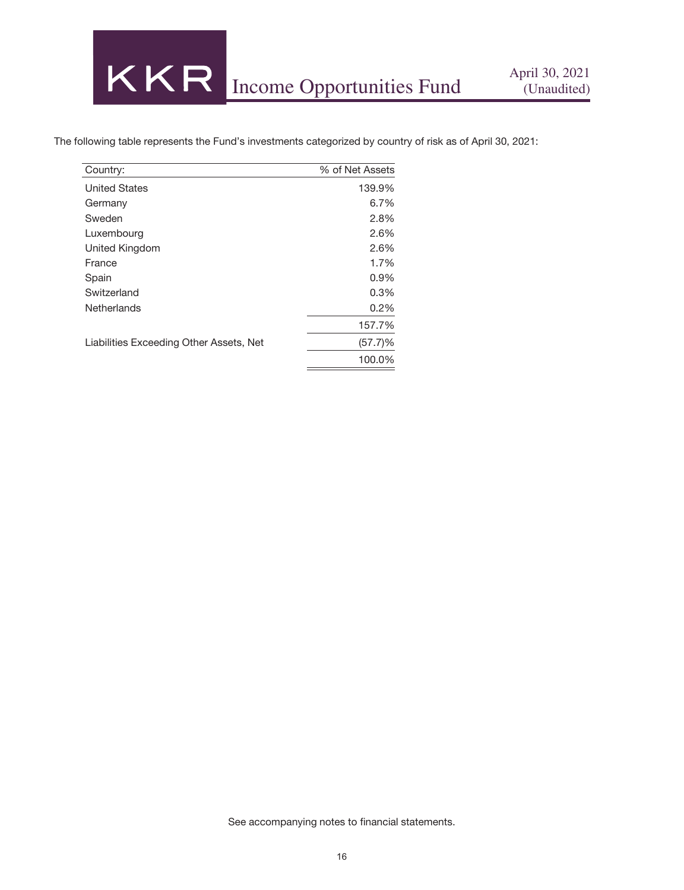The following table represents the Fund's investments categorized by country of risk as of April 30, 2021:

| Country:                                | % of Net Assets |
|-----------------------------------------|-----------------|
| <b>United States</b>                    | 139.9%          |
| Germany                                 | 6.7%            |
| Sweden                                  | 2.8%            |
| Luxembourg                              | 2.6%            |
| United Kingdom                          | 2.6%            |
| France                                  | 1.7%            |
| Spain                                   | $0.9\%$         |
| Switzerland                             | 0.3%            |
| Netherlands                             | 0.2%            |
|                                         | 157.7%          |
| Liabilities Exceeding Other Assets, Net | (57.7)%         |
|                                         | 100.0%          |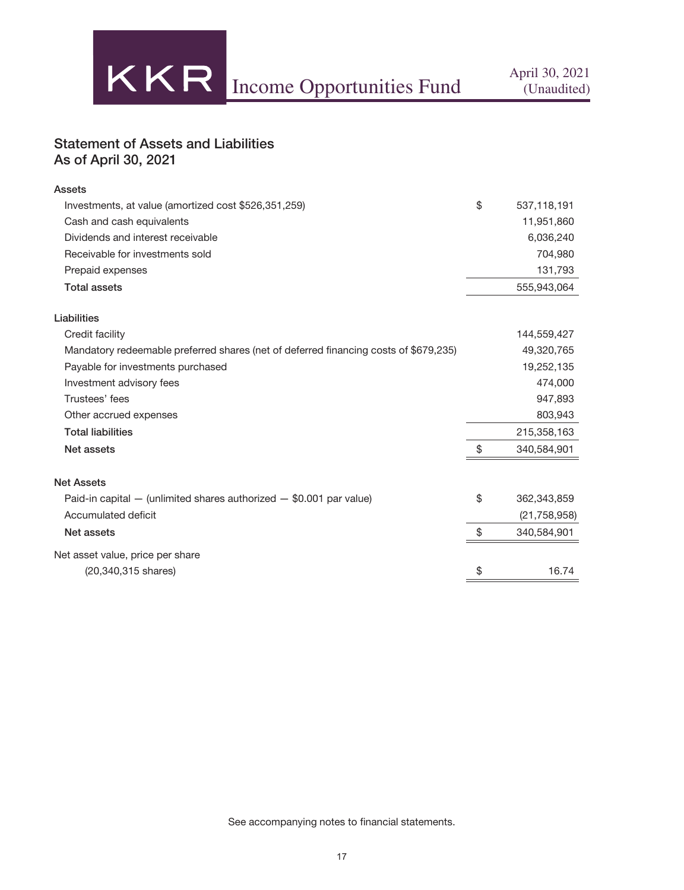

## Statement of Assets and Liabilities As of April 30, 2021

| <b>Assets</b>                                                                        |                   |
|--------------------------------------------------------------------------------------|-------------------|
| Investments, at value (amortized cost \$526,351,259)                                 | \$<br>537,118,191 |
| Cash and cash equivalents                                                            | 11,951,860        |
| Dividends and interest receivable                                                    | 6,036,240         |
| Receivable for investments sold                                                      | 704,980           |
| Prepaid expenses                                                                     | 131,793           |
| <b>Total assets</b>                                                                  | 555,943,064       |
| Liabilities                                                                          |                   |
| Credit facility                                                                      | 144,559,427       |
| Mandatory redeemable preferred shares (net of deferred financing costs of \$679,235) | 49,320,765        |
| Payable for investments purchased                                                    | 19,252,135        |
| Investment advisory fees                                                             | 474,000           |
| Trustees' fees                                                                       | 947,893           |
| Other accrued expenses                                                               | 803,943           |
| <b>Total liabilities</b>                                                             | 215,358,163       |
| Net assets                                                                           | \$<br>340,584,901 |
| <b>Net Assets</b>                                                                    |                   |
| Paid-in capital $-$ (unlimited shares authorized $-$ \$0.001 par value)              | \$<br>362,343,859 |
| Accumulated deficit                                                                  | (21, 758, 958)    |
| Net assets                                                                           | \$<br>340,584,901 |
| Net asset value, price per share                                                     |                   |
| (20,340,315 shares)                                                                  | \$<br>16.74       |
|                                                                                      |                   |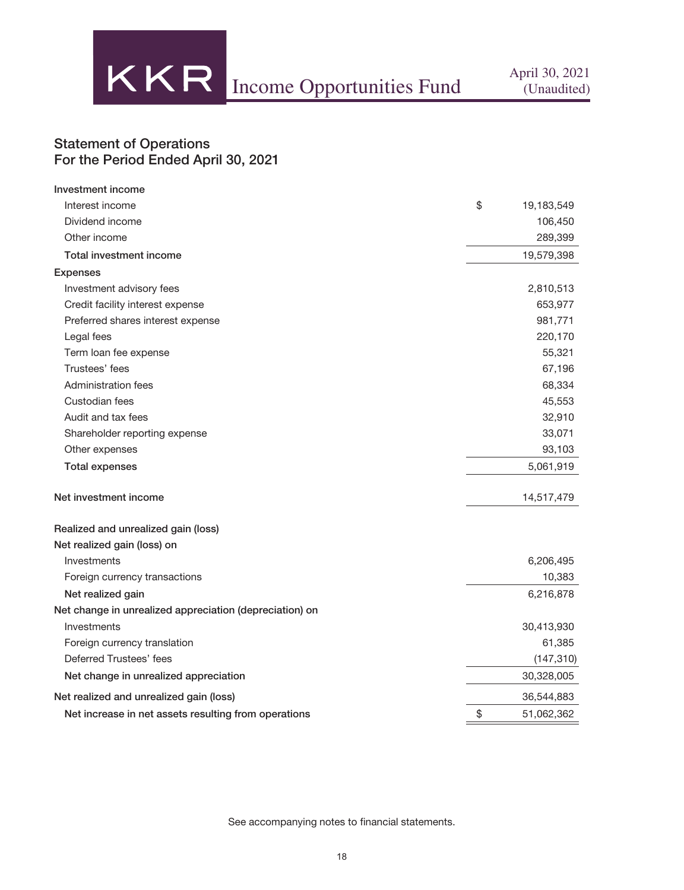

## Statement of Operations For the Period Ended April 30, 2021

| Investment income                                       |                  |
|---------------------------------------------------------|------------------|
| Interest income                                         | \$<br>19,183,549 |
| Dividend income                                         | 106,450          |
| Other income                                            | 289,399          |
| Total investment income                                 | 19,579,398       |
| <b>Expenses</b>                                         |                  |
| Investment advisory fees                                | 2,810,513        |
| Credit facility interest expense                        | 653,977          |
| Preferred shares interest expense                       | 981,771          |
| Legal fees                                              | 220,170          |
| Term loan fee expense                                   | 55,321           |
| Trustees' fees                                          | 67,196           |
| Administration fees                                     | 68,334           |
| Custodian fees                                          | 45,553           |
| Audit and tax fees                                      | 32,910           |
| Shareholder reporting expense                           | 33,071           |
| Other expenses                                          | 93,103           |
| <b>Total expenses</b>                                   | 5,061,919        |
| Net investment income                                   | 14,517,479       |
| Realized and unrealized gain (loss)                     |                  |
| Net realized gain (loss) on                             |                  |
| Investments                                             | 6,206,495        |
| Foreign currency transactions                           | 10,383           |
| Net realized gain                                       | 6,216,878        |
| Net change in unrealized appreciation (depreciation) on |                  |
| Investments                                             | 30,413,930       |
| Foreign currency translation                            | 61,385           |
| Deferred Trustees' fees                                 | (147, 310)       |
| Net change in unrealized appreciation                   | 30,328,005       |
| Net realized and unrealized gain (loss)                 | 36,544,883       |
| Net increase in net assets resulting from operations    | \$<br>51,062,362 |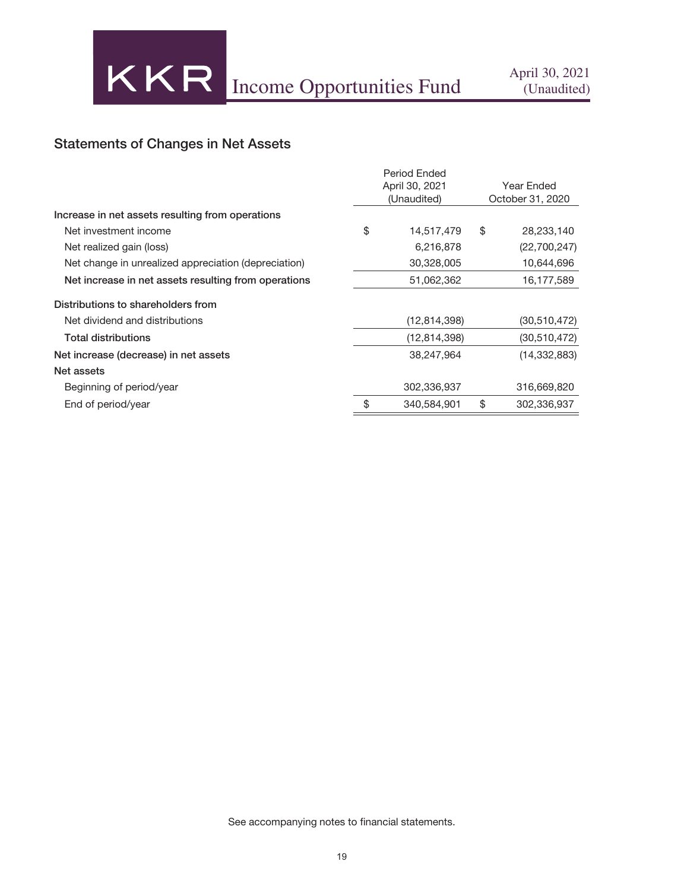## Statements of Changes in Net Assets

|                                                      | <b>Period Ended</b><br>April 30, 2021<br>(Unaudited) | Year Ended<br>October 31, 2020 |                |  |
|------------------------------------------------------|------------------------------------------------------|--------------------------------|----------------|--|
| Increase in net assets resulting from operations     |                                                      |                                |                |  |
| Net investment income                                | \$<br>14,517,479                                     | \$                             | 28,233,140     |  |
| Net realized gain (loss)                             | 6,216,878                                            |                                | (22,700,247)   |  |
| Net change in unrealized appreciation (depreciation) | 30,328,005                                           |                                | 10,644,696     |  |
| Net increase in net assets resulting from operations | 51,062,362                                           |                                | 16,177,589     |  |
| Distributions to shareholders from                   |                                                      |                                |                |  |
| Net dividend and distributions                       | (12, 814, 398)                                       |                                | (30,510,472)   |  |
| Total distributions                                  | (12, 814, 398)                                       |                                | (30,510,472)   |  |
| Net increase (decrease) in net assets                | 38,247,964                                           |                                | (14, 332, 883) |  |
| Net assets                                           |                                                      |                                |                |  |
| Beginning of period/year                             | 302,336,937                                          |                                | 316,669,820    |  |
| End of period/year                                   | \$<br>340,584,901                                    | \$                             | 302,336,937    |  |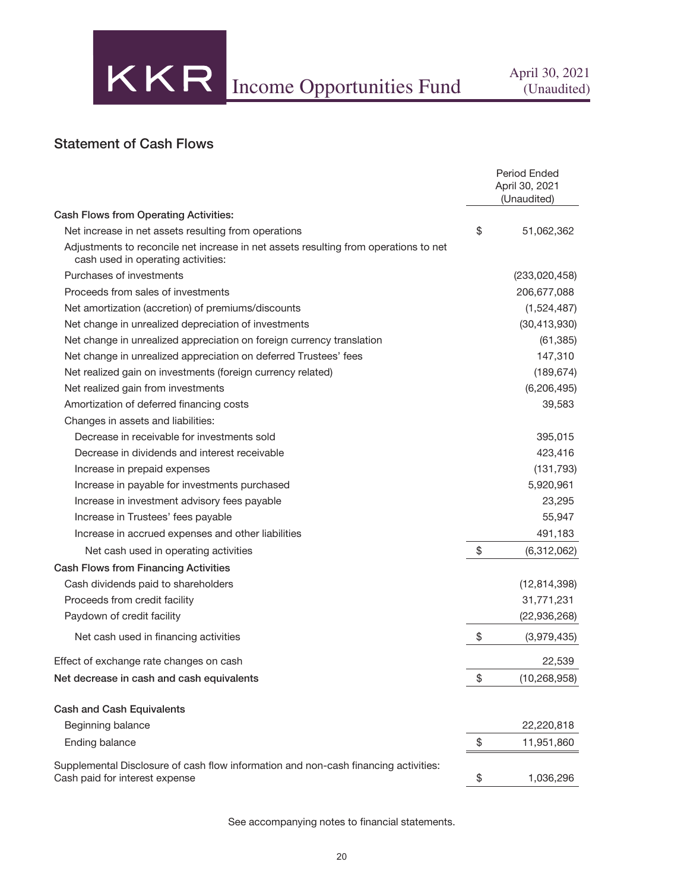## Statement of Cash Flows

|                                                                                                                            | <b>Period Ended</b><br>April 30, 2021<br>(Unaudited) |
|----------------------------------------------------------------------------------------------------------------------------|------------------------------------------------------|
| Cash Flows from Operating Activities:                                                                                      |                                                      |
| Net increase in net assets resulting from operations                                                                       | \$<br>51,062,362                                     |
| Adjustments to reconcile net increase in net assets resulting from operations to net<br>cash used in operating activities: |                                                      |
| Purchases of investments                                                                                                   | (233,020,458)                                        |
| Proceeds from sales of investments                                                                                         | 206,677,088                                          |
| Net amortization (accretion) of premiums/discounts                                                                         | (1,524,487)                                          |
| Net change in unrealized depreciation of investments                                                                       | (30, 413, 930)                                       |
| Net change in unrealized appreciation on foreign currency translation                                                      | (61, 385)                                            |
| Net change in unrealized appreciation on deferred Trustees' fees                                                           | 147,310                                              |
| Net realized gain on investments (foreign currency related)                                                                | (189, 674)                                           |
| Net realized gain from investments                                                                                         | (6, 206, 495)                                        |
| Amortization of deferred financing costs                                                                                   | 39,583                                               |
| Changes in assets and liabilities:                                                                                         |                                                      |
| Decrease in receivable for investments sold                                                                                | 395,015                                              |
| Decrease in dividends and interest receivable                                                                              | 423,416                                              |
| Increase in prepaid expenses                                                                                               | (131, 793)                                           |
| Increase in payable for investments purchased                                                                              | 5,920,961                                            |
| Increase in investment advisory fees payable                                                                               | 23,295                                               |
| Increase in Trustees' fees payable                                                                                         | 55,947                                               |
| Increase in accrued expenses and other liabilities                                                                         | 491,183                                              |
| Net cash used in operating activities                                                                                      | \$<br>(6,312,062)                                    |
| <b>Cash Flows from Financing Activities</b>                                                                                |                                                      |
| Cash dividends paid to shareholders                                                                                        | (12, 814, 398)                                       |
| Proceeds from credit facility                                                                                              | 31,771,231                                           |
| Paydown of credit facility                                                                                                 | (22, 936, 268)                                       |
| Net cash used in financing activities                                                                                      | \$<br>(3,979,435)                                    |
| Effect of exchange rate changes on cash                                                                                    | 22,539                                               |
| Net decrease in cash and cash equivalents                                                                                  | \$<br>(10, 268, 958)                                 |
| <b>Cash and Cash Equivalents</b>                                                                                           |                                                      |
| Beginning balance                                                                                                          | 22,220,818                                           |
| Ending balance                                                                                                             | \$<br>11,951,860                                     |
| Supplemental Disclosure of cash flow information and non-cash financing activities:<br>Cash paid for interest expense      | \$<br>1,036,296                                      |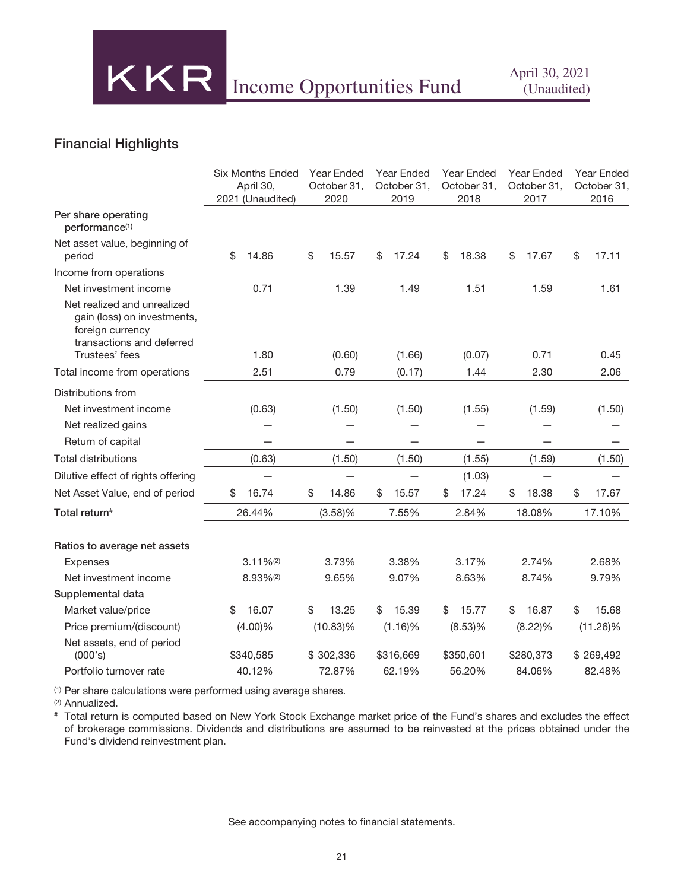## Financial Highlights

|                                                                                                                               | <b>Six Months Ended</b><br>April 30,<br>2021 (Unaudited) | Year Ended<br>October 31,<br>2020 | <b>Year Ended</b><br>Year Ended<br>October 31,<br>October 31,<br>2019 |             | Year Ended<br>October 31,<br>2017 | <b>Year Ended</b><br>October 31,<br>2016 |
|-------------------------------------------------------------------------------------------------------------------------------|----------------------------------------------------------|-----------------------------------|-----------------------------------------------------------------------|-------------|-----------------------------------|------------------------------------------|
| Per share operating<br>performance <sup>(1)</sup>                                                                             |                                                          |                                   |                                                                       |             |                                   |                                          |
| Net asset value, beginning of<br>period                                                                                       | \$<br>14.86                                              | \$<br>15.57                       | \$<br>17.24                                                           | \$<br>18.38 | \$<br>17.67                       | \$<br>17.11                              |
| Income from operations                                                                                                        |                                                          |                                   |                                                                       |             |                                   |                                          |
| Net investment income                                                                                                         | 0.71                                                     | 1.39                              | 1.49                                                                  | 1.51        | 1.59                              | 1.61                                     |
| Net realized and unrealized<br>gain (loss) on investments,<br>foreign currency<br>transactions and deferred<br>Trustees' fees | 1.80                                                     | (0.60)                            | (1.66)                                                                | (0.07)      | 0.71                              | 0.45                                     |
| Total income from operations                                                                                                  | 2.51                                                     | 0.79                              | (0.17)                                                                | 1.44        | 2.30                              | 2.06                                     |
| Distributions from                                                                                                            |                                                          |                                   |                                                                       |             |                                   |                                          |
| Net investment income                                                                                                         | (0.63)                                                   | (1.50)                            | (1.50)                                                                | (1.55)      | (1.59)                            | (1.50)                                   |
| Net realized gains                                                                                                            |                                                          |                                   |                                                                       |             |                                   |                                          |
| Return of capital                                                                                                             |                                                          |                                   |                                                                       |             |                                   |                                          |
| <b>Total distributions</b>                                                                                                    | (0.63)                                                   | (1.50)                            | (1.50)                                                                | (1.55)      | (1.59)                            | (1.50)                                   |
| Dilutive effect of rights offering                                                                                            |                                                          |                                   |                                                                       | (1.03)      |                                   |                                          |
| Net Asset Value, end of period                                                                                                | \$<br>16.74                                              | \$<br>14.86                       | \$<br>15.57                                                           | \$<br>17.24 | \$<br>18.38                       | \$<br>17.67                              |
| Total return#                                                                                                                 | 26.44%                                                   | (3.58)%                           | 7.55%                                                                 | 2.84%       | 18.08%                            | 17.10%                                   |
| Ratios to average net assets                                                                                                  |                                                          |                                   |                                                                       |             |                                   |                                          |
| <b>Expenses</b>                                                                                                               | $3.11\%$ <sup>(2)</sup>                                  | 3.73%                             | 3.38%                                                                 | 3.17%       | 2.74%                             | 2.68%                                    |
| Net investment income                                                                                                         | 8.93%(2)                                                 | 9.65%                             | 9.07%                                                                 | 8.63%       | 8.74%                             | 9.79%                                    |
| Supplemental data                                                                                                             |                                                          |                                   |                                                                       |             |                                   |                                          |
| Market value/price                                                                                                            | 16.07<br>\$                                              | \$<br>13.25                       | 15.39<br>\$                                                           | 15.77<br>\$ | 16.87<br>\$                       | \$<br>15.68                              |
| Price premium/(discount)                                                                                                      | $(4.00)\%$                                               | $(10.83)\%$                       | (1.16)%                                                               | $(8.53)$ %  | $(8.22)\%$                        | $(11.26)\%$                              |
| Net assets, end of period<br>(000's)                                                                                          | \$340,585                                                | \$302,336                         | \$316,669                                                             | \$350,601   | \$280,373                         | \$269,492                                |
| Portfolio turnover rate                                                                                                       | 40.12%                                                   | 72.87%                            | 62.19%                                                                | 56.20%      | 84.06%                            | 82.48%                                   |

(1) Per share calculations were performed using average shares.

(2) Annualized.

# Total return is computed based on New York Stock Exchange market price of the Fund's shares and excludes the effect of brokerage commissions. Dividends and distributions are assumed to be reinvested at the prices obtained under the Fund's dividend reinvestment plan.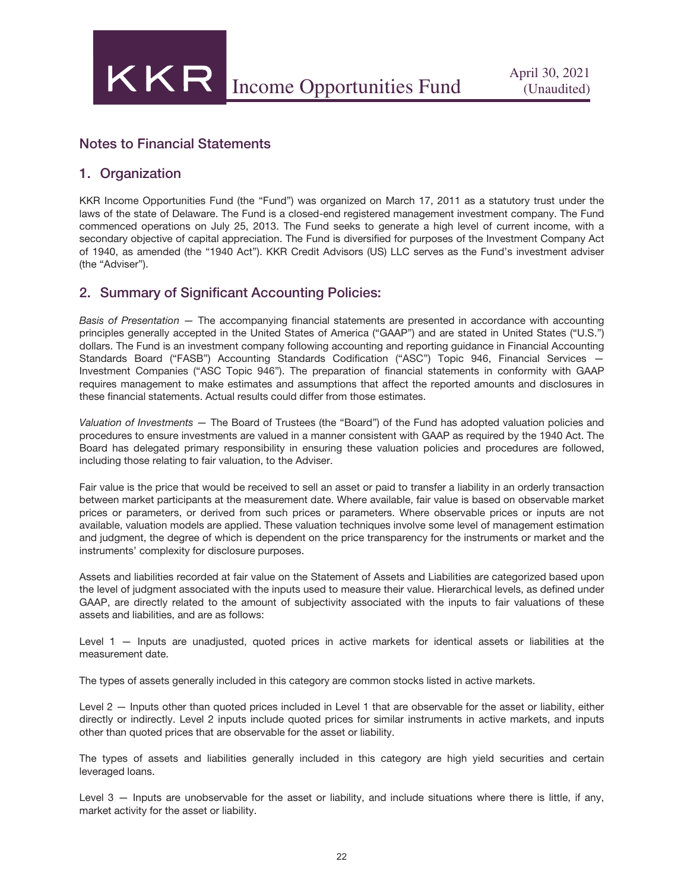## Notes to Financial Statements

### 1. Organization

KKR Income Opportunities Fund (the "Fund") was organized on March 17, 2011 as a statutory trust under the laws of the state of Delaware. The Fund is a closed-end registered management investment company. The Fund commenced operations on July 25, 2013. The Fund seeks to generate a high level of current income, with a secondary objective of capital appreciation. The Fund is diversified for purposes of the Investment Company Act of 1940, as amended (the "1940 Act"). KKR Credit Advisors (US) LLC serves as the Fund's investment adviser (the "Adviser").

### 2. Summary of Significant Accounting Policies:

*Basis of Presentation* — The accompanying financial statements are presented in accordance with accounting principles generally accepted in the United States of America ("GAAP") and are stated in United States ("U.S.") dollars. The Fund is an investment company following accounting and reporting guidance in Financial Accounting Standards Board ("FASB") Accounting Standards Codification ("ASC") Topic 946, Financial Services — Investment Companies ("ASC Topic 946"). The preparation of financial statements in conformity with GAAP requires management to make estimates and assumptions that affect the reported amounts and disclosures in these financial statements. Actual results could differ from those estimates.

*Valuation of Investments* — The Board of Trustees (the "Board") of the Fund has adopted valuation policies and procedures to ensure investments are valued in a manner consistent with GAAP as required by the 1940 Act. The Board has delegated primary responsibility in ensuring these valuation policies and procedures are followed, including those relating to fair valuation, to the Adviser.

Fair value is the price that would be received to sell an asset or paid to transfer a liability in an orderly transaction between market participants at the measurement date. Where available, fair value is based on observable market prices or parameters, or derived from such prices or parameters. Where observable prices or inputs are not available, valuation models are applied. These valuation techniques involve some level of management estimation and judgment, the degree of which is dependent on the price transparency for the instruments or market and the instruments' complexity for disclosure purposes.

Assets and liabilities recorded at fair value on the Statement of Assets and Liabilities are categorized based upon the level of judgment associated with the inputs used to measure their value. Hierarchical levels, as defined under GAAP, are directly related to the amount of subjectivity associated with the inputs to fair valuations of these assets and liabilities, and are as follows:

Level 1 — Inputs are unadjusted, quoted prices in active markets for identical assets or liabilities at the measurement date.

The types of assets generally included in this category are common stocks listed in active markets.

Level 2 — Inputs other than quoted prices included in Level 1 that are observable for the asset or liability, either directly or indirectly. Level 2 inputs include quoted prices for similar instruments in active markets, and inputs other than quoted prices that are observable for the asset or liability.

The types of assets and liabilities generally included in this category are high yield securities and certain leveraged loans.

Level 3 — Inputs are unobservable for the asset or liability, and include situations where there is little, if any, market activity for the asset or liability.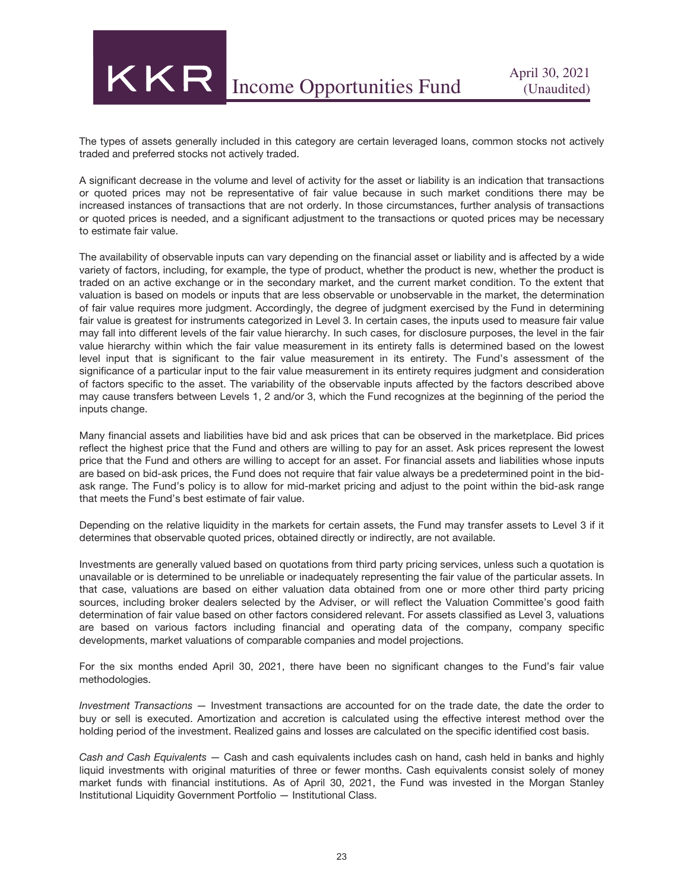The types of assets generally included in this category are certain leveraged loans, common stocks not actively traded and preferred stocks not actively traded.

A significant decrease in the volume and level of activity for the asset or liability is an indication that transactions or quoted prices may not be representative of fair value because in such market conditions there may be increased instances of transactions that are not orderly. In those circumstances, further analysis of transactions or quoted prices is needed, and a significant adjustment to the transactions or quoted prices may be necessary to estimate fair value.

The availability of observable inputs can vary depending on the financial asset or liability and is affected by a wide variety of factors, including, for example, the type of product, whether the product is new, whether the product is traded on an active exchange or in the secondary market, and the current market condition. To the extent that valuation is based on models or inputs that are less observable or unobservable in the market, the determination of fair value requires more judgment. Accordingly, the degree of judgment exercised by the Fund in determining fair value is greatest for instruments categorized in Level 3. In certain cases, the inputs used to measure fair value may fall into different levels of the fair value hierarchy. In such cases, for disclosure purposes, the level in the fair value hierarchy within which the fair value measurement in its entirety falls is determined based on the lowest level input that is significant to the fair value measurement in its entirety. The Fund's assessment of the significance of a particular input to the fair value measurement in its entirety requires judgment and consideration of factors specific to the asset. The variability of the observable inputs affected by the factors described above may cause transfers between Levels 1, 2 and/or 3, which the Fund recognizes at the beginning of the period the inputs change.

Many financial assets and liabilities have bid and ask prices that can be observed in the marketplace. Bid prices reflect the highest price that the Fund and others are willing to pay for an asset. Ask prices represent the lowest price that the Fund and others are willing to accept for an asset. For financial assets and liabilities whose inputs are based on bid-ask prices, the Fund does not require that fair value always be a predetermined point in the bidask range. The Fund's policy is to allow for mid-market pricing and adjust to the point within the bid-ask range that meets the Fund's best estimate of fair value.

Depending on the relative liquidity in the markets for certain assets, the Fund may transfer assets to Level 3 if it determines that observable quoted prices, obtained directly or indirectly, are not available.

Investments are generally valued based on quotations from third party pricing services, unless such a quotation is unavailable or is determined to be unreliable or inadequately representing the fair value of the particular assets. In that case, valuations are based on either valuation data obtained from one or more other third party pricing sources, including broker dealers selected by the Adviser, or will reflect the Valuation Committee's good faith determination of fair value based on other factors considered relevant. For assets classified as Level 3, valuations are based on various factors including financial and operating data of the company, company specific developments, market valuations of comparable companies and model projections.

For the six months ended April 30, 2021, there have been no significant changes to the Fund's fair value methodologies.

*Investment Transactions —* Investment transactions are accounted for on the trade date, the date the order to buy or sell is executed. Amortization and accretion is calculated using the effective interest method over the holding period of the investment. Realized gains and losses are calculated on the specific identified cost basis.

*Cash and Cash Equivalents* — Cash and cash equivalents includes cash on hand, cash held in banks and highly liquid investments with original maturities of three or fewer months. Cash equivalents consist solely of money market funds with financial institutions. As of April 30, 2021, the Fund was invested in the Morgan Stanley Institutional Liquidity Government Portfolio — Institutional Class.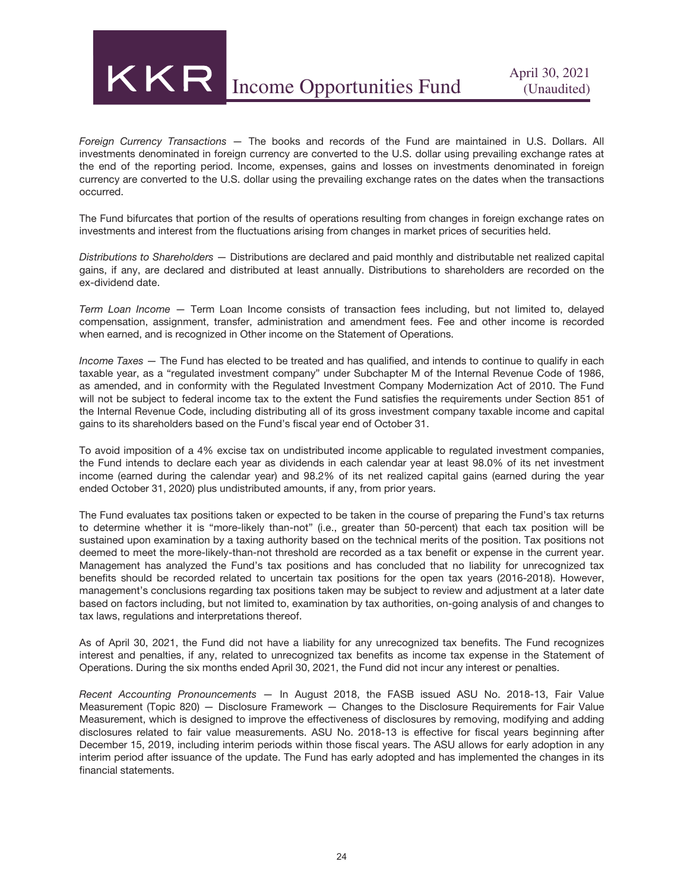

*Foreign Currency Transactions* — The books and records of the Fund are maintained in U.S. Dollars. All investments denominated in foreign currency are converted to the U.S. dollar using prevailing exchange rates at the end of the reporting period. Income, expenses, gains and losses on investments denominated in foreign currency are converted to the U.S. dollar using the prevailing exchange rates on the dates when the transactions occurred.

The Fund bifurcates that portion of the results of operations resulting from changes in foreign exchange rates on investments and interest from the fluctuations arising from changes in market prices of securities held.

*Distributions to Shareholders* — Distributions are declared and paid monthly and distributable net realized capital gains, if any, are declared and distributed at least annually. Distributions to shareholders are recorded on the ex-dividend date.

*Term Loan Income* — Term Loan Income consists of transaction fees including, but not limited to, delayed compensation, assignment, transfer, administration and amendment fees. Fee and other income is recorded when earned, and is recognized in Other income on the Statement of Operations.

*Income Taxes* — The Fund has elected to be treated and has qualified, and intends to continue to qualify in each taxable year, as a "regulated investment company" under Subchapter M of the Internal Revenue Code of 1986, as amended, and in conformity with the Regulated Investment Company Modernization Act of 2010. The Fund will not be subject to federal income tax to the extent the Fund satisfies the requirements under Section 851 of the Internal Revenue Code, including distributing all of its gross investment company taxable income and capital gains to its shareholders based on the Fund's fiscal year end of October 31.

To avoid imposition of a 4% excise tax on undistributed income applicable to regulated investment companies, the Fund intends to declare each year as dividends in each calendar year at least 98.0% of its net investment income (earned during the calendar year) and 98.2% of its net realized capital gains (earned during the year ended October 31, 2020) plus undistributed amounts, if any, from prior years.

The Fund evaluates tax positions taken or expected to be taken in the course of preparing the Fund's tax returns to determine whether it is "more-likely than-not" (i.e., greater than 50-percent) that each tax position will be sustained upon examination by a taxing authority based on the technical merits of the position. Tax positions not deemed to meet the more-likely-than-not threshold are recorded as a tax benefit or expense in the current year. Management has analyzed the Fund's tax positions and has concluded that no liability for unrecognized tax benefits should be recorded related to uncertain tax positions for the open tax years (2016-2018). However, management's conclusions regarding tax positions taken may be subject to review and adjustment at a later date based on factors including, but not limited to, examination by tax authorities, on-going analysis of and changes to tax laws, regulations and interpretations thereof.

As of April 30, 2021, the Fund did not have a liability for any unrecognized tax benefits. The Fund recognizes interest and penalties, if any, related to unrecognized tax benefits as income tax expense in the Statement of Operations. During the six months ended April 30, 2021, the Fund did not incur any interest or penalties.

*Recent Accounting Pronouncements —* In August 2018, the FASB issued ASU No. 2018-13, Fair Value Measurement (Topic 820) — Disclosure Framework — Changes to the Disclosure Requirements for Fair Value Measurement, which is designed to improve the effectiveness of disclosures by removing, modifying and adding disclosures related to fair value measurements. ASU No. 2018-13 is effective for fiscal years beginning after December 15, 2019, including interim periods within those fiscal years. The ASU allows for early adoption in any interim period after issuance of the update. The Fund has early adopted and has implemented the changes in its financial statements.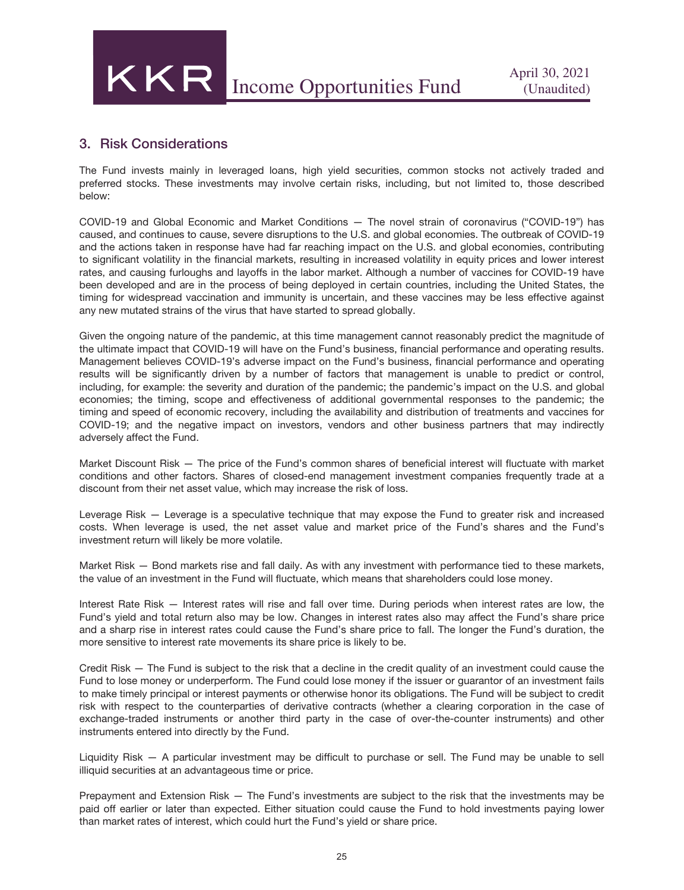## 3. Risk Considerations

The Fund invests mainly in leveraged loans, high yield securities, common stocks not actively traded and preferred stocks. These investments may involve certain risks, including, but not limited to, those described below:

COVID-19 and Global Economic and Market Conditions — The novel strain of coronavirus ("COVID-19") has caused, and continues to cause, severe disruptions to the U.S. and global economies. The outbreak of COVID-19 and the actions taken in response have had far reaching impact on the U.S. and global economies, contributing to significant volatility in the financial markets, resulting in increased volatility in equity prices and lower interest rates, and causing furloughs and layoffs in the labor market. Although a number of vaccines for COVID-19 have been developed and are in the process of being deployed in certain countries, including the United States, the timing for widespread vaccination and immunity is uncertain, and these vaccines may be less effective against any new mutated strains of the virus that have started to spread globally.

Given the ongoing nature of the pandemic, at this time management cannot reasonably predict the magnitude of the ultimate impact that COVID-19 will have on the Fund's business, financial performance and operating results. Management believes COVID-19's adverse impact on the Fund's business, financial performance and operating results will be significantly driven by a number of factors that management is unable to predict or control, including, for example: the severity and duration of the pandemic; the pandemic's impact on the U.S. and global economies; the timing, scope and effectiveness of additional governmental responses to the pandemic; the timing and speed of economic recovery, including the availability and distribution of treatments and vaccines for COVID-19; and the negative impact on investors, vendors and other business partners that may indirectly adversely affect the Fund.

Market Discount Risk — The price of the Fund's common shares of beneficial interest will fluctuate with market conditions and other factors. Shares of closed-end management investment companies frequently trade at a discount from their net asset value, which may increase the risk of loss.

Leverage Risk — Leverage is a speculative technique that may expose the Fund to greater risk and increased costs. When leverage is used, the net asset value and market price of the Fund's shares and the Fund's investment return will likely be more volatile.

Market Risk — Bond markets rise and fall daily. As with any investment with performance tied to these markets, the value of an investment in the Fund will fluctuate, which means that shareholders could lose money.

Interest Rate Risk — Interest rates will rise and fall over time. During periods when interest rates are low, the Fund's yield and total return also may be low. Changes in interest rates also may affect the Fund's share price and a sharp rise in interest rates could cause the Fund's share price to fall. The longer the Fund's duration, the more sensitive to interest rate movements its share price is likely to be.

Credit Risk — The Fund is subject to the risk that a decline in the credit quality of an investment could cause the Fund to lose money or underperform. The Fund could lose money if the issuer or guarantor of an investment fails to make timely principal or interest payments or otherwise honor its obligations. The Fund will be subject to credit risk with respect to the counterparties of derivative contracts (whether a clearing corporation in the case of exchange-traded instruments or another third party in the case of over-the-counter instruments) and other instruments entered into directly by the Fund.

Liquidity Risk — A particular investment may be difficult to purchase or sell. The Fund may be unable to sell illiquid securities at an advantageous time or price.

Prepayment and Extension Risk — The Fund's investments are subject to the risk that the investments may be paid off earlier or later than expected. Either situation could cause the Fund to hold investments paying lower than market rates of interest, which could hurt the Fund's yield or share price.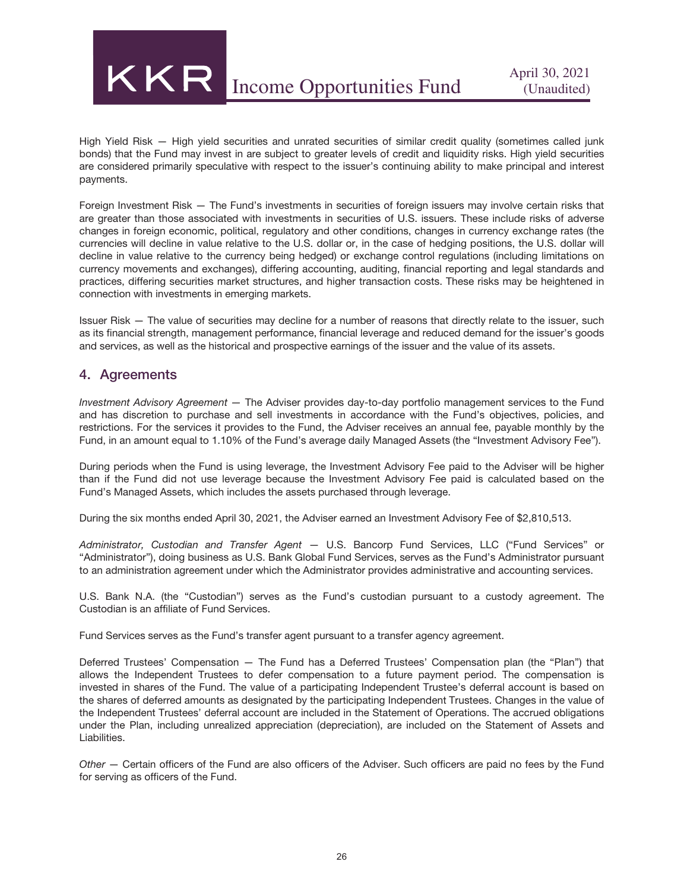

High Yield Risk — High yield securities and unrated securities of similar credit quality (sometimes called junk bonds) that the Fund may invest in are subject to greater levels of credit and liquidity risks. High yield securities are considered primarily speculative with respect to the issuer's continuing ability to make principal and interest payments.

Foreign Investment Risk — The Fund's investments in securities of foreign issuers may involve certain risks that are greater than those associated with investments in securities of U.S. issuers. These include risks of adverse changes in foreign economic, political, regulatory and other conditions, changes in currency exchange rates (the currencies will decline in value relative to the U.S. dollar or, in the case of hedging positions, the U.S. dollar will decline in value relative to the currency being hedged) or exchange control regulations (including limitations on currency movements and exchanges), differing accounting, auditing, financial reporting and legal standards and practices, differing securities market structures, and higher transaction costs. These risks may be heightened in connection with investments in emerging markets.

Issuer Risk — The value of securities may decline for a number of reasons that directly relate to the issuer, such as its financial strength, management performance, financial leverage and reduced demand for the issuer's goods and services, as well as the historical and prospective earnings of the issuer and the value of its assets.

#### 4. Agreements

*Investment Advisory Agreement —* The Adviser provides day-to-day portfolio management services to the Fund and has discretion to purchase and sell investments in accordance with the Fund's objectives, policies, and restrictions. For the services it provides to the Fund, the Adviser receives an annual fee, payable monthly by the Fund, in an amount equal to 1.10% of the Fund's average daily Managed Assets (the "Investment Advisory Fee").

During periods when the Fund is using leverage, the Investment Advisory Fee paid to the Adviser will be higher than if the Fund did not use leverage because the Investment Advisory Fee paid is calculated based on the Fund's Managed Assets, which includes the assets purchased through leverage.

During the six months ended April 30, 2021, the Adviser earned an Investment Advisory Fee of \$2,810,513.

*Administrator, Custodian and Transfer Agent* — U.S. Bancorp Fund Services, LLC ("Fund Services" or "Administrator"), doing business as U.S. Bank Global Fund Services, serves as the Fund's Administrator pursuant to an administration agreement under which the Administrator provides administrative and accounting services.

U.S. Bank N.A. (the "Custodian") serves as the Fund's custodian pursuant to a custody agreement. The Custodian is an affiliate of Fund Services.

Fund Services serves as the Fund's transfer agent pursuant to a transfer agency agreement.

Deferred Trustees' Compensation — The Fund has a Deferred Trustees' Compensation plan (the "Plan") that allows the Independent Trustees to defer compensation to a future payment period. The compensation is invested in shares of the Fund. The value of a participating Independent Trustee's deferral account is based on the shares of deferred amounts as designated by the participating Independent Trustees. Changes in the value of the Independent Trustees' deferral account are included in the Statement of Operations. The accrued obligations under the Plan, including unrealized appreciation (depreciation), are included on the Statement of Assets and Liabilities.

*Other* — Certain officers of the Fund are also officers of the Adviser. Such officers are paid no fees by the Fund for serving as officers of the Fund.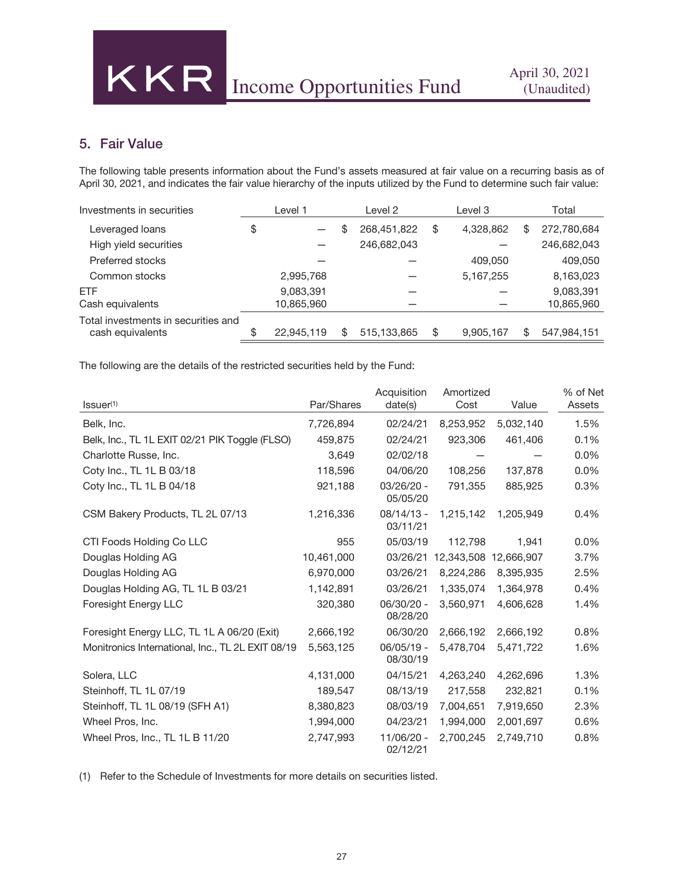## 5. Fair Value

The following table presents information about the Fund's assets measured at fair value on a recurring basis as of April 30, 2021, and indicates the fair value hierarchy of the inputs utilized by the Fund to determine such fair value:

| Investments in securities           | Level 1          |    | Level 2       | Level 3         |    | Total       |
|-------------------------------------|------------------|----|---------------|-----------------|----|-------------|
| Leveraged loans                     | \$               | \$ | 268,451,822   | \$<br>4,328,862 | S  | 272,780,684 |
| High yield securities               |                  |    | 246,682,043   |                 |    | 246,682,043 |
| Preferred stocks                    |                  |    |               | 409,050         |    | 409,050     |
| Common stocks                       | 2,995,768        |    |               | 5, 167, 255     |    | 8,163,023   |
| <b>FTF</b>                          | 9,083,391        |    |               |                 |    | 9,083,391   |
| Cash equivalents                    | 10,865,960       |    |               |                 |    | 10,865,960  |
| Total investments in securities and |                  |    |               |                 |    |             |
| cash equivalents                    | \$<br>22.945.119 | S  | 515, 133, 865 | \$<br>9,905,167 | S. | 547,984,151 |

The following are the details of the restricted securities held by the Fund:

|                                                   |            | Acquisition              | Amortized  |            | % of Net |
|---------------------------------------------------|------------|--------------------------|------------|------------|----------|
| Issuer <sup>(1)</sup>                             | Par/Shares | date(s)                  | Cost       | Value      | Assets   |
| Belk, Inc.                                        | 7,726,894  | 02/24/21                 | 8,253,952  | 5,032,140  | 1.5%     |
| Belk, Inc., TL 1L EXIT 02/21 PIK Toggle (FLSO)    | 459,875    | 02/24/21                 | 923,306    | 461,406    | 0.1%     |
| Charlotte Russe, Inc.                             | 3,649      | 02/02/18                 |            |            | 0.0%     |
| Coty Inc., TL 1L B 03/18                          | 118,596    | 04/06/20                 | 108,256    | 137.878    | 0.0%     |
| Coty Inc., TL 1L B 04/18                          | 921,188    | 03/26/20 -<br>05/05/20   | 791,355    | 885,925    | 0.3%     |
| CSM Bakery Products, TL 2L 07/13                  | 1,216,336  | 08/14/13 -<br>03/11/21   | 1,215,142  | 1,205,949  | 0.4%     |
| CTI Foods Holding Co LLC                          | 955        | 05/03/19                 | 112,798    | 1,941      | 0.0%     |
| Douglas Holding AG                                | 10,461,000 | 03/26/21                 | 12,343,508 | 12,666,907 | 3.7%     |
| Douglas Holding AG                                | 6,970,000  | 03/26/21                 | 8,224,286  | 8,395,935  | 2.5%     |
| Douglas Holding AG, TL 1L B 03/21                 | 1,142,891  | 03/26/21                 | 1,335,074  | 1,364,978  | 0.4%     |
| Foresight Energy LLC                              | 320,380    | 06/30/20 -<br>08/28/20   | 3.560.971  | 4,606,628  | 1.4%     |
| Foresight Energy LLC, TL 1L A 06/20 (Exit)        | 2,666,192  | 06/30/20                 | 2,666,192  | 2,666,192  | 0.8%     |
| Monitronics International, Inc., TL 2L EXIT 08/19 | 5,563,125  | $06/05/19 -$<br>08/30/19 | 5,478,704  | 5,471,722  | 1.6%     |
| Solera, LLC                                       | 4,131,000  | 04/15/21                 | 4,263,240  | 4,262,696  | 1.3%     |
| Steinhoff, TL 1L 07/19                            | 189,547    | 08/13/19                 | 217,558    | 232,821    | 0.1%     |
| Steinhoff, TL 1L 08/19 (SFH A1)                   | 8,380,823  | 08/03/19                 | 7,004,651  | 7,919,650  | 2.3%     |
| Wheel Pros, Inc.                                  | 1,994,000  | 04/23/21                 | 1,994,000  | 2,001,697  | 0.6%     |
| Wheel Pros, Inc., TL 1L B 11/20                   | 2,747,993  | 11/06/20 -<br>02/12/21   | 2,700,245  | 2,749,710  | 0.8%     |

(1) Refer to the Schedule of Investments for more details on securities listed.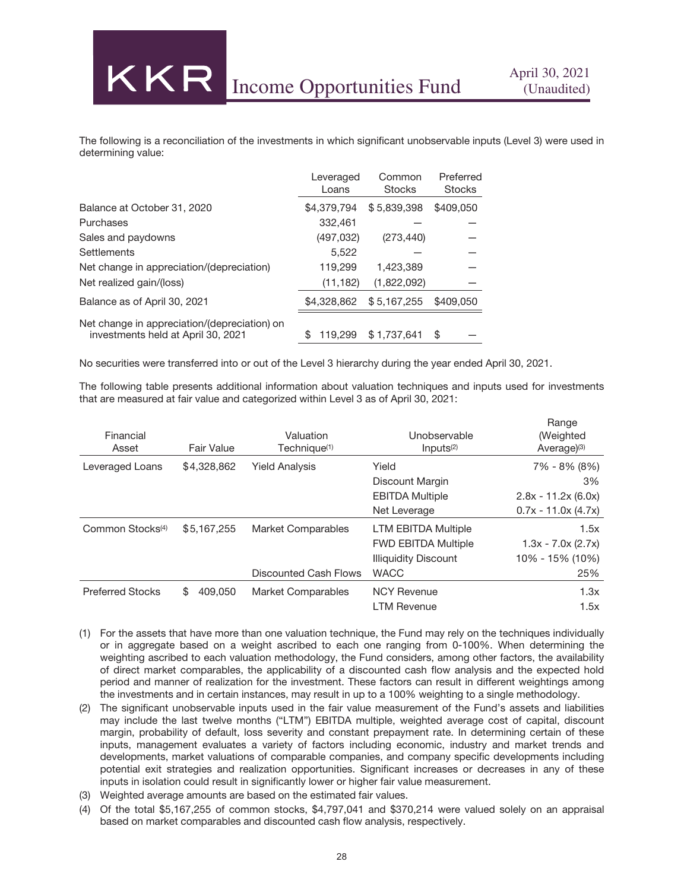The following is a reconciliation of the investments in which significant unobservable inputs (Level 3) were used in determining value:

|                                                                                    | Leveraged<br>Loans | Common<br><b>Stocks</b> | Preferred<br><b>Stocks</b> |
|------------------------------------------------------------------------------------|--------------------|-------------------------|----------------------------|
| Balance at October 31, 2020                                                        | \$4,379,794        | \$5,839,398             | \$409,050                  |
| Purchases                                                                          | 332,461            |                         |                            |
| Sales and paydowns                                                                 | (497, 032)         | (273, 440)              |                            |
| <b>Settlements</b>                                                                 | 5,522              |                         |                            |
| Net change in appreciation/(depreciation)                                          | 119,299            | 1.423.389               |                            |
| Net realized gain/(loss)                                                           | (11, 182)          | (1,822,092)             |                            |
| Balance as of April 30, 2021                                                       | \$4,328,862        | \$5,167,255             | \$409,050                  |
| Net change in appreciation/(depreciation) on<br>investments held at April 30, 2021 | \$<br>119.299      | \$1,737,641             | \$                         |

No securities were transferred into or out of the Level 3 hierarchy during the year ended April 30, 2021.

The following table presents additional information about valuation techniques and inputs used for investments that are measured at fair value and categorized within Level 3 as of April 30, 2021:

| Financial<br>Asset           | Fair Value    | Valuation<br>Technique <sup>(1)</sup> | Unobservable<br>Inputs <sup>(2)</sup> | Range<br>(Weighted<br>Average $(3)$ |
|------------------------------|---------------|---------------------------------------|---------------------------------------|-------------------------------------|
| Leveraged Loans              | \$4,328,862   | <b>Yield Analysis</b>                 | Yield                                 | 7% - 8% (8%)                        |
|                              |               |                                       | Discount Margin                       | 3%                                  |
|                              |               |                                       | <b>EBITDA Multiple</b>                | $2.8x - 11.2x (6.0x)$               |
|                              |               |                                       | Net Leverage                          | $0.7x - 11.0x (4.7x)$               |
| Common Stocks <sup>(4)</sup> | \$5,167,255   | <b>Market Comparables</b>             | <b>LTM EBITDA Multiple</b>            | 1.5x                                |
|                              |               |                                       | <b>FWD EBITDA Multiple</b>            | $1.3x - 7.0x (2.7x)$                |
|                              |               |                                       | <b>Illiquidity Discount</b>           | 10% - 15% (10%)                     |
|                              |               | Discounted Cash Flows                 | <b>WACC</b>                           | 25%                                 |
| <b>Preferred Stocks</b>      | 409.050<br>\$ | Market Comparables                    | <b>NCY Revenue</b>                    | 1.3x                                |
|                              |               |                                       | <b>LTM Revenue</b>                    | 1.5x                                |

- (1) For the assets that have more than one valuation technique, the Fund may rely on the techniques individually or in aggregate based on a weight ascribed to each one ranging from 0-100%. When determining the weighting ascribed to each valuation methodology, the Fund considers, among other factors, the availability of direct market comparables, the applicability of a discounted cash flow analysis and the expected hold period and manner of realization for the investment. These factors can result in different weightings among the investments and in certain instances, may result in up to a 100% weighting to a single methodology.
- (2) The significant unobservable inputs used in the fair value measurement of the Fund's assets and liabilities may include the last twelve months ("LTM") EBITDA multiple, weighted average cost of capital, discount margin, probability of default, loss severity and constant prepayment rate. In determining certain of these inputs, management evaluates a variety of factors including economic, industry and market trends and developments, market valuations of comparable companies, and company specific developments including potential exit strategies and realization opportunities. Significant increases or decreases in any of these inputs in isolation could result in significantly lower or higher fair value measurement.
- (3) Weighted average amounts are based on the estimated fair values.
- (4) Of the total \$5,167,255 of common stocks, \$4,797,041 and \$370,214 were valued solely on an appraisal based on market comparables and discounted cash flow analysis, respectively.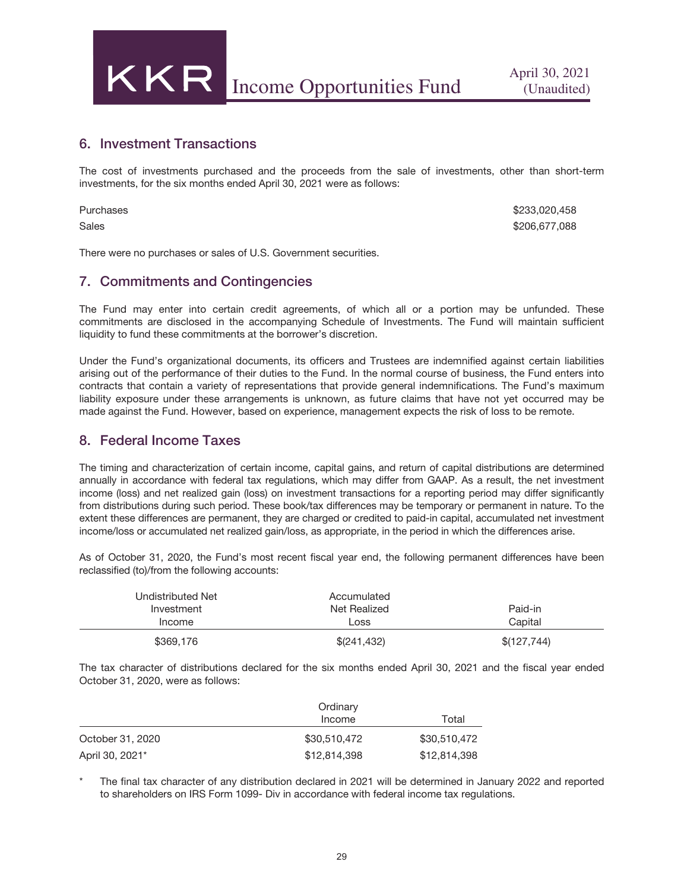

#### 6. Investment Transactions

The cost of investments purchased and the proceeds from the sale of investments, other than short-term investments, for the six months ended April 30, 2021 were as follows:

| Purchases | \$233,020,458 |
|-----------|---------------|
| Sales     | \$206,677,088 |

There were no purchases or sales of U.S. Government securities.

#### 7. Commitments and Contingencies

The Fund may enter into certain credit agreements, of which all or a portion may be unfunded. These commitments are disclosed in the accompanying Schedule of Investments. The Fund will maintain sufficient liquidity to fund these commitments at the borrower's discretion.

Under the Fund's organizational documents, its officers and Trustees are indemnified against certain liabilities arising out of the performance of their duties to the Fund. In the normal course of business, the Fund enters into contracts that contain a variety of representations that provide general indemnifications. The Fund's maximum liability exposure under these arrangements is unknown, as future claims that have not yet occurred may be made against the Fund. However, based on experience, management expects the risk of loss to be remote.

#### 8. Federal Income Taxes

The timing and characterization of certain income, capital gains, and return of capital distributions are determined annually in accordance with federal tax regulations, which may differ from GAAP. As a result, the net investment income (loss) and net realized gain (loss) on investment transactions for a reporting period may differ significantly from distributions during such period. These book/tax differences may be temporary or permanent in nature. To the extent these differences are permanent, they are charged or credited to paid-in capital, accumulated net investment income/loss or accumulated net realized gain/loss, as appropriate, in the period in which the differences arise.

As of October 31, 2020, the Fund's most recent fiscal year end, the following permanent differences have been reclassified (to)/from the following accounts:

| Undistributed Net<br>Investment<br>Income | Accumulated<br>Net Realized<br>Loss | Paid-in<br>Capital |
|-------------------------------------------|-------------------------------------|--------------------|
| \$369,176                                 | \$(241,432)                         | \$(127,744)        |

The tax character of distributions declared for the six months ended April 30, 2021 and the fiscal year ended October 31, 2020, were as follows:

|                  | Ordinary     |              |
|------------------|--------------|--------------|
|                  | Income       | Total        |
| October 31, 2020 | \$30,510,472 | \$30,510,472 |
| April 30, 2021*  | \$12,814,398 | \$12,814,398 |

The final tax character of any distribution declared in 2021 will be determined in January 2022 and reported to shareholders on IRS Form 1099- Div in accordance with federal income tax regulations.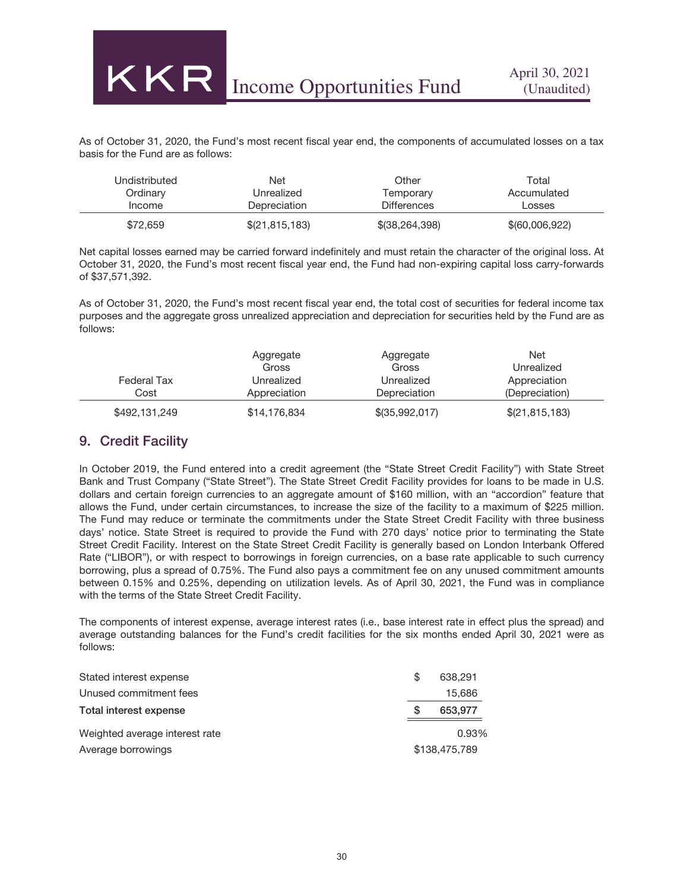As of October 31, 2020, the Fund's most recent fiscal year end, the components of accumulated losses on a tax basis for the Fund are as follows:

| Undistributed | Net            | Other              | Total          |
|---------------|----------------|--------------------|----------------|
| Ordinary      | Unrealized     | Temporary          | Accumulated    |
| Income        | Depreciation   | <b>Differences</b> | Losses         |
| \$72,659      | \$(21,815,183) | \$(38,264,398)     | \$(60,006,922) |

Net capital losses earned may be carried forward indefinitely and must retain the character of the original loss. At October 31, 2020, the Fund's most recent fiscal year end, the Fund had non-expiring capital loss carry-forwards of \$37,571,392.

As of October 31, 2020, the Fund's most recent fiscal year end, the total cost of securities for federal income tax purposes and the aggregate gross unrealized appreciation and depreciation for securities held by the Fund are as follows:

|               | Aggregate    | Aggregate      | <b>Net</b>     |
|---------------|--------------|----------------|----------------|
|               | Gross        | Gross          | Unrealized     |
| Federal Tax   | Unrealized   | Unrealized     | Appreciation   |
| Cost          | Appreciation | Depreciation   | (Depreciation) |
| \$492,131,249 | \$14,176,834 | \$(35,992,017) | \$(21,815,183) |

#### 9. Credit Facility

**KKR** 

In October 2019, the Fund entered into a credit agreement (the "State Street Credit Facility") with State Street Bank and Trust Company ("State Street"). The State Street Credit Facility provides for loans to be made in U.S. dollars and certain foreign currencies to an aggregate amount of \$160 million, with an "accordion" feature that allows the Fund, under certain circumstances, to increase the size of the facility to a maximum of \$225 million. The Fund may reduce or terminate the commitments under the State Street Credit Facility with three business days' notice. State Street is required to provide the Fund with 270 days' notice prior to terminating the State Street Credit Facility. Interest on the State Street Credit Facility is generally based on London Interbank Offered Rate ("LIBOR"), or with respect to borrowings in foreign currencies, on a base rate applicable to such currency borrowing, plus a spread of 0.75%. The Fund also pays a commitment fee on any unused commitment amounts between 0.15% and 0.25%, depending on utilization levels. As of April 30, 2021, the Fund was in compliance with the terms of the State Street Credit Facility.

The components of interest expense, average interest rates (i.e., base interest rate in effect plus the spread) and average outstanding balances for the Fund's credit facilities for the six months ended April 30, 2021 were as follows:

| Stated interest expense        | S | 638,291       |
|--------------------------------|---|---------------|
| Unused commitment fees         |   | 15,686        |
| Total interest expense         | S | 653,977       |
| Weighted average interest rate |   | 0.93%         |
| Average borrowings             |   | \$138,475,789 |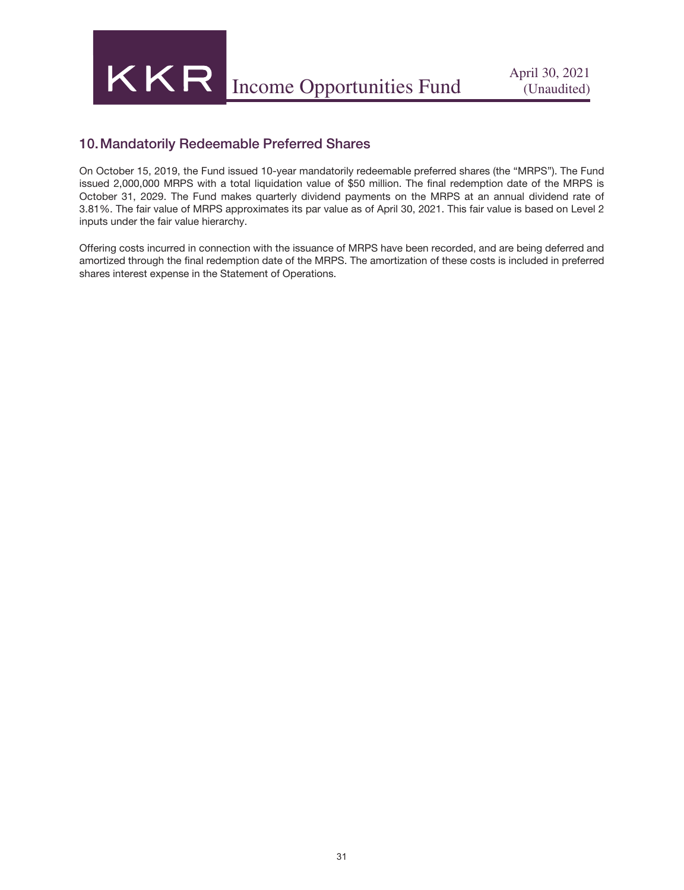

## 10.Mandatorily Redeemable Preferred Shares

On October 15, 2019, the Fund issued 10-year mandatorily redeemable preferred shares (the "MRPS"). The Fund issued 2,000,000 MRPS with a total liquidation value of \$50 million. The final redemption date of the MRPS is October 31, 2029. The Fund makes quarterly dividend payments on the MRPS at an annual dividend rate of 3.81%. The fair value of MRPS approximates its par value as of April 30, 2021. This fair value is based on Level 2 inputs under the fair value hierarchy.

Offering costs incurred in connection with the issuance of MRPS have been recorded, and are being deferred and amortized through the final redemption date of the MRPS. The amortization of these costs is included in preferred shares interest expense in the Statement of Operations.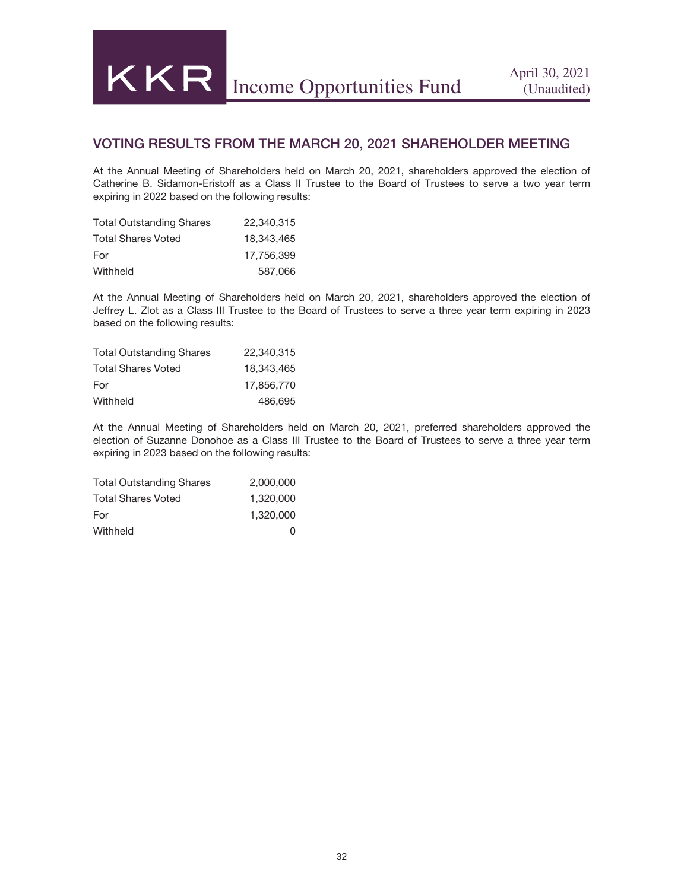### VOTING RESULTS FROM THE MARCH 20, 2021 SHAREHOLDER MEETING

At the Annual Meeting of Shareholders held on March 20, 2021, shareholders approved the election of Catherine B. Sidamon-Eristoff as a Class II Trustee to the Board of Trustees to serve a two year term expiring in 2022 based on the following results:

| <b>Total Outstanding Shares</b> | 22,340,315 |
|---------------------------------|------------|
| <b>Total Shares Voted</b>       | 18.343.465 |
| For                             | 17.756.399 |
| Withheld                        | 587,066    |

At the Annual Meeting of Shareholders held on March 20, 2021, shareholders approved the election of Jeffrey L. Zlot as a Class III Trustee to the Board of Trustees to serve a three year term expiring in 2023 based on the following results:

| <b>Total Outstanding Shares</b> | 22.340.315 |
|---------------------------------|------------|
| <b>Total Shares Voted</b>       | 18.343.465 |
| For                             | 17.856.770 |
| Withheld                        | 486,695    |

At the Annual Meeting of Shareholders held on March 20, 2021, preferred shareholders approved the election of Suzanne Donohoe as a Class III Trustee to the Board of Trustees to serve a three year term expiring in 2023 based on the following results:

| <b>Total Outstanding Shares</b> | 2,000,000 |
|---------------------------------|-----------|
| <b>Total Shares Voted</b>       | 1.320.000 |
| For                             | 1.320.000 |
| Withheld                        | U         |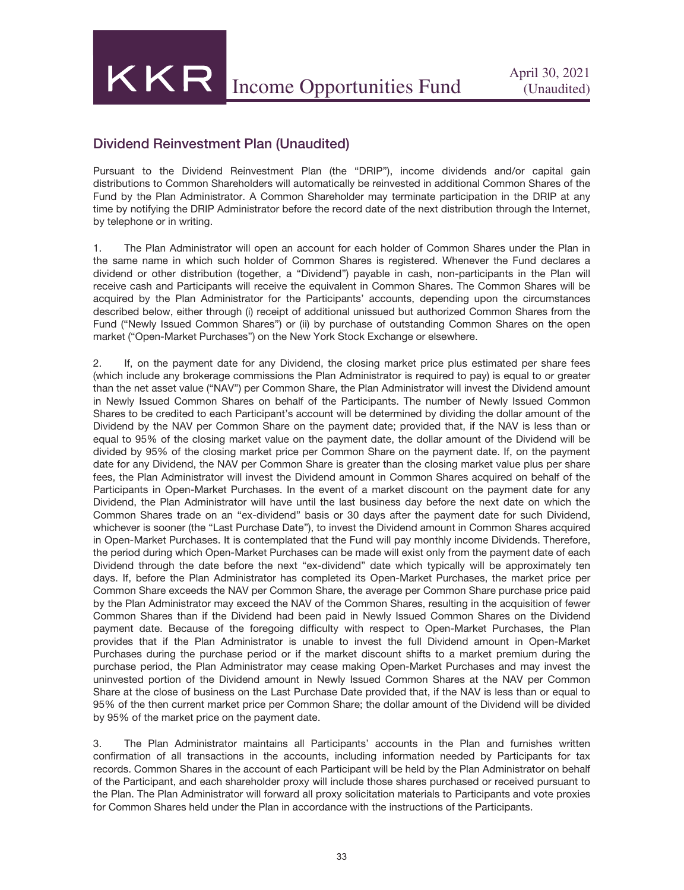KKR Income Opportunities Fund April 30, 2021

### Dividend Reinvestment Plan (Unaudited)

Pursuant to the Dividend Reinvestment Plan (the "DRIP"), income dividends and/or capital gain distributions to Common Shareholders will automatically be reinvested in additional Common Shares of the Fund by the Plan Administrator. A Common Shareholder may terminate participation in the DRIP at any time by notifying the DRIP Administrator before the record date of the next distribution through the Internet, by telephone or in writing.

1. The Plan Administrator will open an account for each holder of Common Shares under the Plan in the same name in which such holder of Common Shares is registered. Whenever the Fund declares a dividend or other distribution (together, a "Dividend") payable in cash, non-participants in the Plan will receive cash and Participants will receive the equivalent in Common Shares. The Common Shares will be acquired by the Plan Administrator for the Participants' accounts, depending upon the circumstances described below, either through (i) receipt of additional unissued but authorized Common Shares from the Fund ("Newly Issued Common Shares") or (ii) by purchase of outstanding Common Shares on the open market ("Open-Market Purchases") on the New York Stock Exchange or elsewhere.

2. If, on the payment date for any Dividend, the closing market price plus estimated per share fees (which include any brokerage commissions the Plan Administrator is required to pay) is equal to or greater than the net asset value ("NAV") per Common Share, the Plan Administrator will invest the Dividend amount in Newly Issued Common Shares on behalf of the Participants. The number of Newly Issued Common Shares to be credited to each Participant's account will be determined by dividing the dollar amount of the Dividend by the NAV per Common Share on the payment date; provided that, if the NAV is less than or equal to 95% of the closing market value on the payment date, the dollar amount of the Dividend will be divided by 95% of the closing market price per Common Share on the payment date. If, on the payment date for any Dividend, the NAV per Common Share is greater than the closing market value plus per share fees, the Plan Administrator will invest the Dividend amount in Common Shares acquired on behalf of the Participants in Open-Market Purchases. In the event of a market discount on the payment date for any Dividend, the Plan Administrator will have until the last business day before the next date on which the Common Shares trade on an "ex-dividend" basis or 30 days after the payment date for such Dividend, whichever is sooner (the "Last Purchase Date"), to invest the Dividend amount in Common Shares acquired in Open-Market Purchases. It is contemplated that the Fund will pay monthly income Dividends. Therefore, the period during which Open-Market Purchases can be made will exist only from the payment date of each Dividend through the date before the next "ex-dividend" date which typically will be approximately ten days. If, before the Plan Administrator has completed its Open-Market Purchases, the market price per Common Share exceeds the NAV per Common Share, the average per Common Share purchase price paid by the Plan Administrator may exceed the NAV of the Common Shares, resulting in the acquisition of fewer Common Shares than if the Dividend had been paid in Newly Issued Common Shares on the Dividend payment date. Because of the foregoing difficulty with respect to Open-Market Purchases, the Plan provides that if the Plan Administrator is unable to invest the full Dividend amount in Open-Market Purchases during the purchase period or if the market discount shifts to a market premium during the purchase period, the Plan Administrator may cease making Open-Market Purchases and may invest the uninvested portion of the Dividend amount in Newly Issued Common Shares at the NAV per Common Share at the close of business on the Last Purchase Date provided that, if the NAV is less than or equal to 95% of the then current market price per Common Share; the dollar amount of the Dividend will be divided by 95% of the market price on the payment date.

3. The Plan Administrator maintains all Participants' accounts in the Plan and furnishes written confirmation of all transactions in the accounts, including information needed by Participants for tax records. Common Shares in the account of each Participant will be held by the Plan Administrator on behalf of the Participant, and each shareholder proxy will include those shares purchased or received pursuant to the Plan. The Plan Administrator will forward all proxy solicitation materials to Participants and vote proxies for Common Shares held under the Plan in accordance with the instructions of the Participants.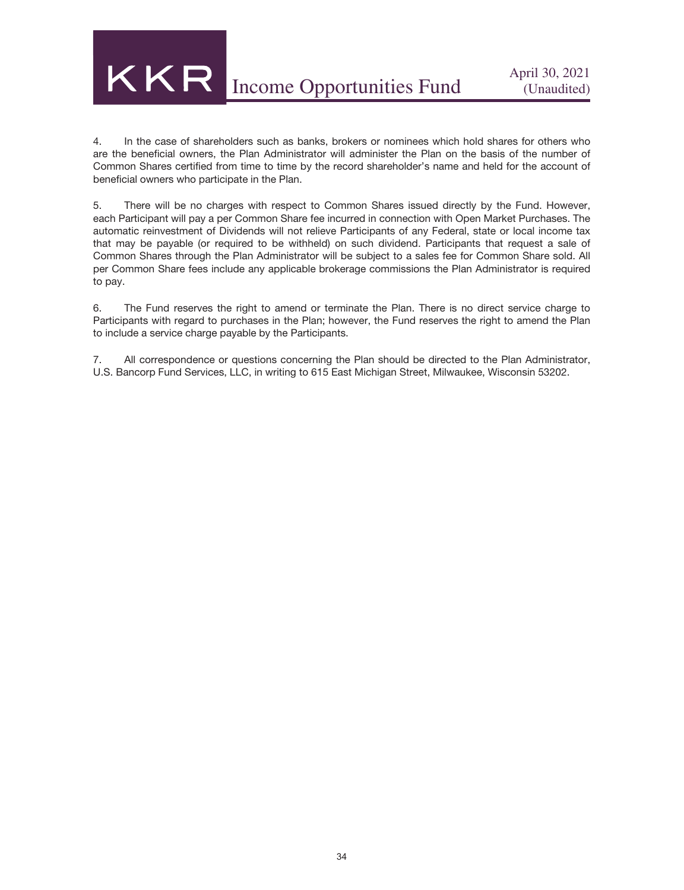4. In the case of shareholders such as banks, brokers or nominees which hold shares for others who are the beneficial owners, the Plan Administrator will administer the Plan on the basis of the number of Common Shares certified from time to time by the record shareholder's name and held for the account of beneficial owners who participate in the Plan.

5. There will be no charges with respect to Common Shares issued directly by the Fund. However, each Participant will pay a per Common Share fee incurred in connection with Open Market Purchases. The automatic reinvestment of Dividends will not relieve Participants of any Federal, state or local income tax that may be payable (or required to be withheld) on such dividend. Participants that request a sale of Common Shares through the Plan Administrator will be subject to a sales fee for Common Share sold. All per Common Share fees include any applicable brokerage commissions the Plan Administrator is required to pay.

6. The Fund reserves the right to amend or terminate the Plan. There is no direct service charge to Participants with regard to purchases in the Plan; however, the Fund reserves the right to amend the Plan to include a service charge payable by the Participants.

7. All correspondence or questions concerning the Plan should be directed to the Plan Administrator, U.S. Bancorp Fund Services, LLC, in writing to 615 East Michigan Street, Milwaukee, Wisconsin 53202.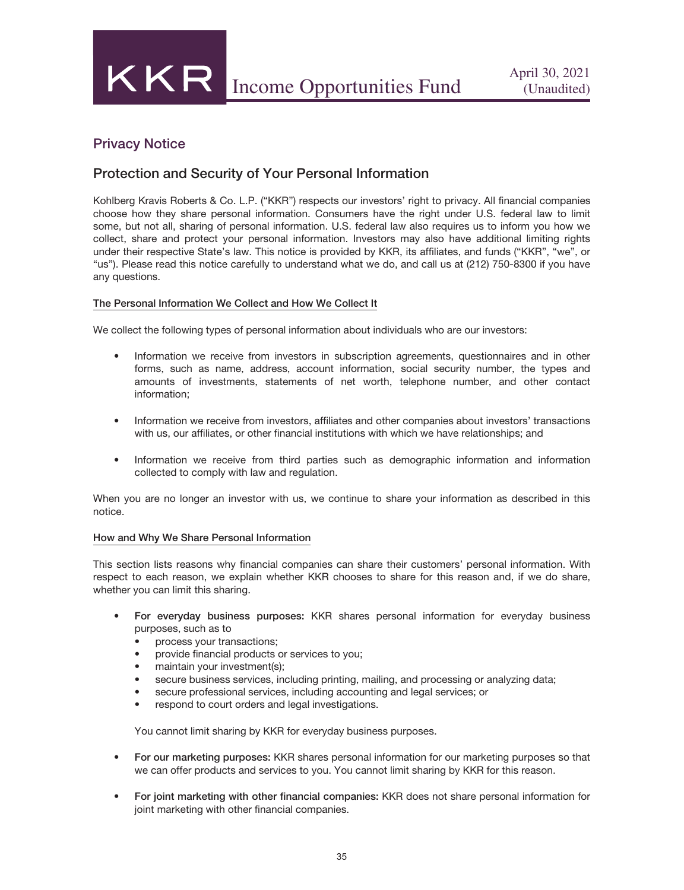## Privacy Notice

## Protection and Security of Your Personal Information

Kohlberg Kravis Roberts & Co. L.P. ("KKR") respects our investors' right to privacy. All financial companies choose how they share personal information. Consumers have the right under U.S. federal law to limit some, but not all, sharing of personal information. U.S. federal law also requires us to inform you how we collect, share and protect your personal information. Investors may also have additional limiting rights under their respective State's law. This notice is provided by KKR, its affiliates, and funds ("KKR", "we", or "us"). Please read this notice carefully to understand what we do, and call us at (212) 750-8300 if you have any questions.

#### The Personal Information We Collect and How We Collect It

We collect the following types of personal information about individuals who are our investors:

- Information we receive from investors in subscription agreements, questionnaires and in other forms, such as name, address, account information, social security number, the types and amounts of investments, statements of net worth, telephone number, and other contact information;
- Information we receive from investors, affiliates and other companies about investors' transactions with us, our affiliates, or other financial institutions with which we have relationships; and
- Information we receive from third parties such as demographic information and information collected to comply with law and regulation.

When you are no longer an investor with us, we continue to share your information as described in this notice.

#### How and Why We Share Personal Information

This section lists reasons why financial companies can share their customers' personal information. With respect to each reason, we explain whether KKR chooses to share for this reason and, if we do share, whether you can limit this sharing.

- For everyday business purposes: KKR shares personal information for everyday business purposes, such as to
	- process your transactions;
	- provide financial products or services to you;
	- maintain your investment(s);
	- secure business services, including printing, mailing, and processing or analyzing data;
	- secure professional services, including accounting and legal services; or
	- respond to court orders and legal investigations.

You cannot limit sharing by KKR for everyday business purposes.

- For our marketing purposes: KKR shares personal information for our marketing purposes so that we can offer products and services to you. You cannot limit sharing by KKR for this reason.
- For joint marketing with other financial companies: KKR does not share personal information for joint marketing with other financial companies.